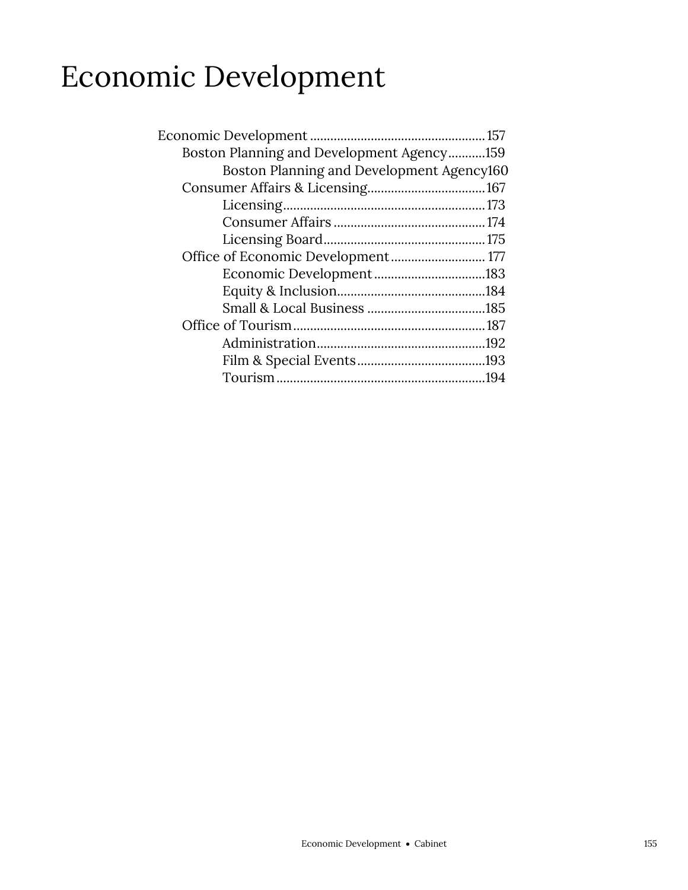## Economic Development

| Boston Planning and Development Agency159 |  |
|-------------------------------------------|--|
| Boston Planning and Development Agency160 |  |
|                                           |  |
|                                           |  |
|                                           |  |
|                                           |  |
| Office of Economic Development 177        |  |
|                                           |  |
|                                           |  |
|                                           |  |
|                                           |  |
|                                           |  |
|                                           |  |
|                                           |  |
|                                           |  |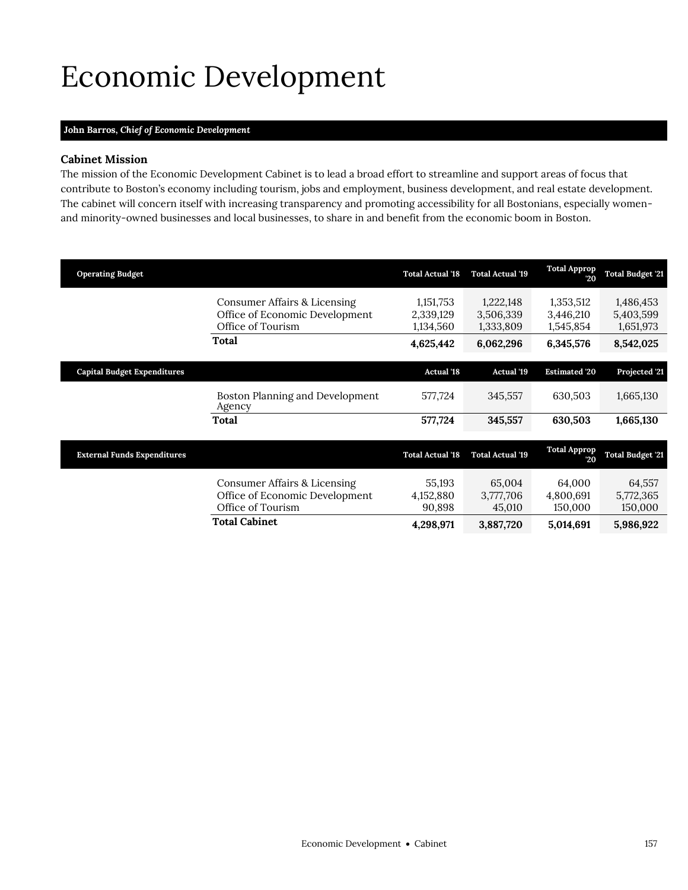# <span id="page-2-0"></span>Economic Development

## **John Barros,** *Chief of Economic Development*

### **Cabinet Mission**

The mission of the Economic Development Cabinet is to lead a broad effort to streamline and support areas of focus that contribute to Boston's economy including tourism, jobs and employment, business development, and real estate development. The cabinet will concern itself with increasing transparency and promoting accessibility for all Bostonians, especially womenand minority-owned businesses and local businesses, to share in and benefit from the economic boom in Boston.

| <b>Operating Budget</b>            |                                                                                                     | <b>Total Actual '18</b>                          | <b>Total Actual '19</b>                          | <b>Total Approp</b><br>20                        | <b>Total Budget '21</b>                          |
|------------------------------------|-----------------------------------------------------------------------------------------------------|--------------------------------------------------|--------------------------------------------------|--------------------------------------------------|--------------------------------------------------|
|                                    | Consumer Affairs & Licensing<br>Office of Economic Development<br>Office of Tourism<br><b>Total</b> | 1,151,753<br>2,339,129<br>1,134,560<br>4,625,442 | 1,222,148<br>3,506,339<br>1,333,809<br>6,062,296 | 1,353,512<br>3,446,210<br>1,545,854<br>6,345,576 | 1,486,453<br>5,403,599<br>1,651,973<br>8,542,025 |
| <b>Capital Budget Expenditures</b> |                                                                                                     | <b>Actual '18</b>                                | <b>Actual '19</b>                                | <b>Estimated '20</b>                             | Projected '21                                    |
|                                    | Boston Planning and Development<br>Agency                                                           | 577,724                                          | 345.557                                          | 630.503                                          | 1,665,130                                        |
|                                    | <b>Total</b>                                                                                        | 577,724                                          | 345,557                                          | 630.503                                          | 1,665,130                                        |

| <b>External Funds Expenditures</b> |                                                                                     | <b>Total Actual '18</b>       | <b>Total Actual '19</b>       | <b>Total Approp</b><br>20      | <b>Total Budget '21</b>        |
|------------------------------------|-------------------------------------------------------------------------------------|-------------------------------|-------------------------------|--------------------------------|--------------------------------|
|                                    | Consumer Affairs & Licensing<br>Office of Economic Development<br>Office of Tourism | 55.193<br>4,152,880<br>90.898 | 65,004<br>3,777,706<br>45.010 | 64.000<br>4,800,691<br>150,000 | 64,557<br>5,772,365<br>150,000 |
|                                    | <b>Total Cabinet</b>                                                                | 4.298.971                     | 3,887,720                     | 5.014.691                      | 5,986,922                      |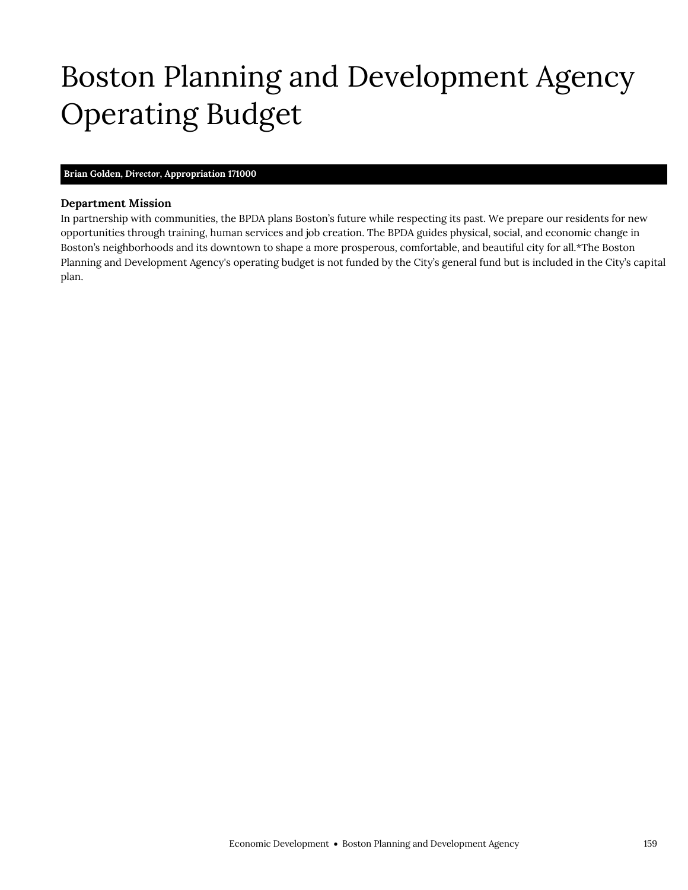# <span id="page-4-0"></span>Boston Planning and Development Agency Operating Budget

## **Brian Golden,** *Director,* **Appropriation 171000**

Boston Planning and Development Agency

#### **Department Mission**

In partnership with communities, the BPDA plans Boston's future while respecting its past. We prepare our residents for new opportunities through training, human services and job creation. The BPDA guides physical, social, and economic change in Boston's neighborhoods and its downtown to shape a more prosperous, comfortable, and beautiful city for all.\*The Boston Planning and Development Agency's operating budget is not funded by the City's general fund but is included in the City's capital plan.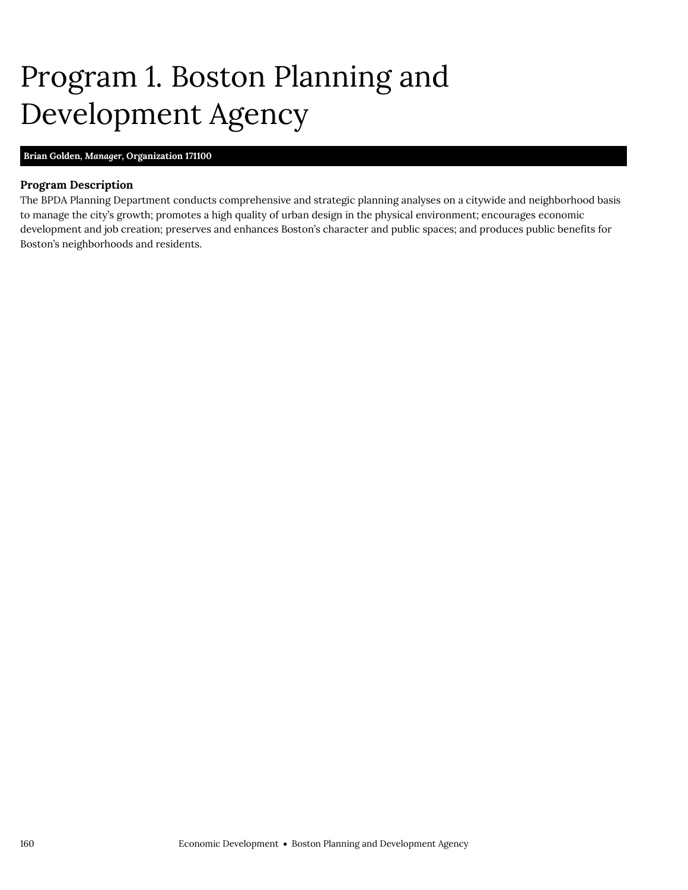# <span id="page-5-0"></span>Program 1. Boston Planning and Development Agency

## **Brian Golden,** *Manager,* **Organization 171100**

## **Program Description**

The BPDA Planning Department conducts comprehensive and strategic planning analyses on a citywide and neighborhood basis to manage the city's growth; promotes a high quality of urban design in the physical environment; encourages economic development and job creation; preserves and enhances Boston's character and public spaces; and produces public benefits for Boston's neighborhoods and residents.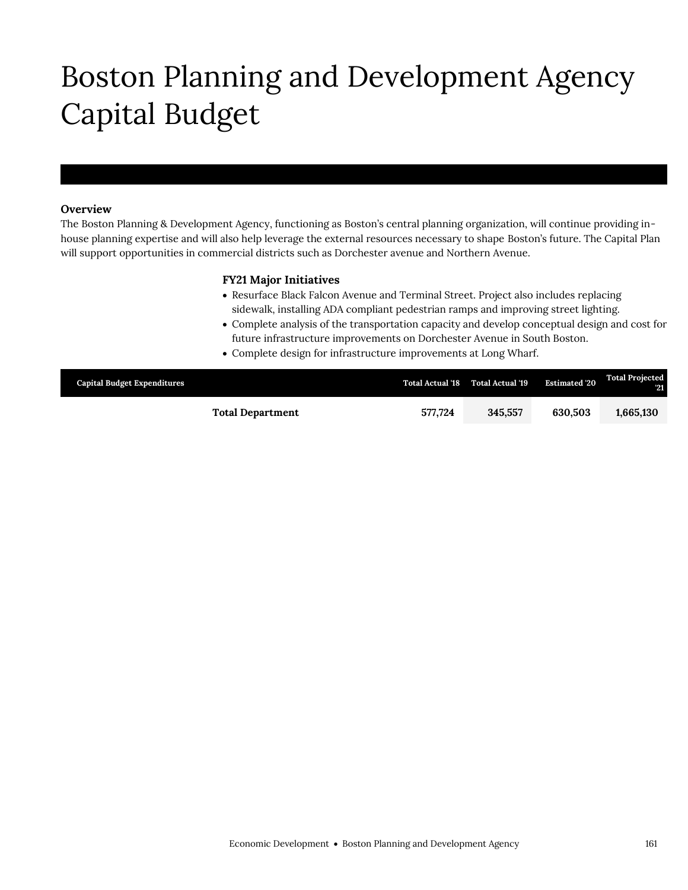# Boston Planning and Development Agency Capital Budget

### **Overview**

Boston Planning and Development Agency

The Boston Planning & Development Agency, functioning as Boston's central planning organization, will continue providing inhouse planning expertise and will also help leverage the external resources necessary to shape Boston's future. The Capital Plan will support opportunities in commercial districts such as Dorchester avenue and Northern Avenue.

### **FY21 Major Initiatives**

- Resurface Black Falcon Avenue and Terminal Street. Project also includes replacing sidewalk, installing ADA compliant pedestrian ramps and improving street lighting.
- Complete analysis of the transportation capacity and develop conceptual design and cost for future infrastructure improvements on Dorchester Avenue in South Boston.
- Complete design for infrastructure improvements at Long Wharf.

| <b>Capital Budget Expenditures</b> |                         |         | Total Actual '18 Total Actual '19 | <b>Estimated '20</b> | <b>Total Projected</b><br>- 21 |
|------------------------------------|-------------------------|---------|-----------------------------------|----------------------|--------------------------------|
|                                    | <b>Total Department</b> | 577.724 | 345.557                           | 630.503              | 1,665,130                      |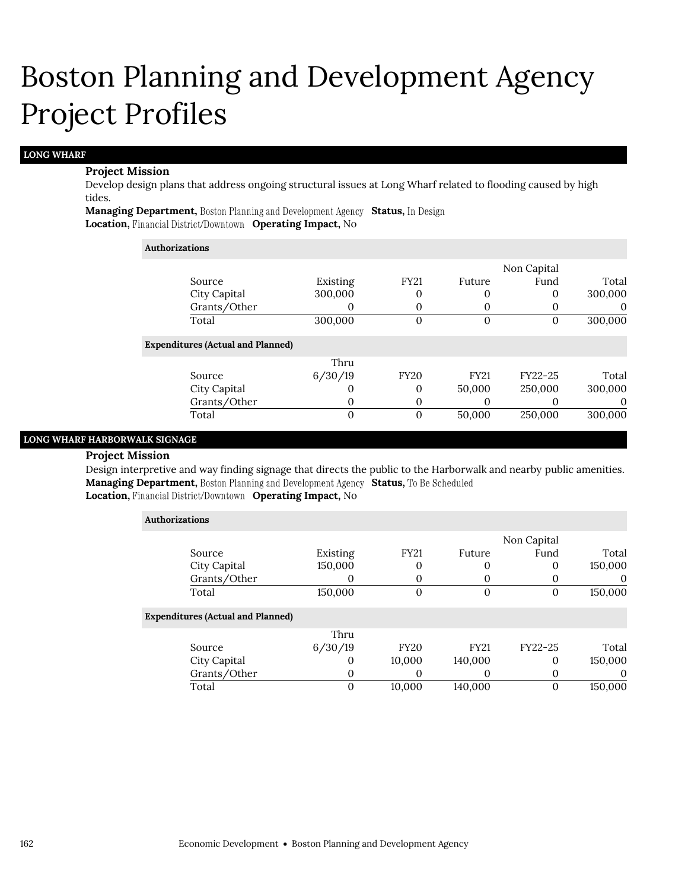#### **LONG WHARF**

#### **Project Mission**

Develop design plans that address ongoing structural issues at Long Wharf related to flooding caused by high tides.

**Managing Department, Boston Planning and Development Agency Status, In Design Location, Financial District/Downtown Operating Impact, No** 

#### **Authorizations**

| Existing                                 | <b>FY21</b> | Future      | Fund    | Total       |
|------------------------------------------|-------------|-------------|---------|-------------|
| 300,000                                  | 0           | 0           |         | 300,000     |
| O                                        | 0           |             |         |             |
| 300,000                                  | 0           | 0           |         | 300,000     |
| <b>Expenditures (Actual and Planned)</b> |             |             |         |             |
| Thru                                     |             |             |         |             |
| 6/30/19                                  | <b>FY20</b> | <b>FY21</b> | FY22-25 | Total       |
| O                                        | 0           | 50,000      | 250,000 | 300,000     |
| 0                                        | 0           | O           |         | 0           |
| 0                                        | 0           | 50,000      | 250,000 | 300,000     |
|                                          |             |             |         | Non Capital |

## **LONG WHARF HARBORWALK SIGNAGE**

#### **Project Mission**

Design interpretive and way finding signage that directs the public to the Harborwalk and nearby public amenities. Managing Department, Boston Planning and Development Agency Status, To Be Scheduled

## **Location, Financial District/Downtown Operating Impact, No**

| <b>Authorizations</b>                    |          |                |             |             |         |
|------------------------------------------|----------|----------------|-------------|-------------|---------|
|                                          |          |                |             | Non Capital |         |
| Source                                   | Existing | <b>FY21</b>    | Future      | Fund        | Total   |
| City Capital                             | 150,000  | 0              |             | 0           | 150,000 |
| Grants/Other                             |          | 0              |             |             | O       |
| Total                                    | 150,000  | $\overline{0}$ | $\Omega$    | 0           | 150,000 |
| <b>Expenditures (Actual and Planned)</b> |          |                |             |             |         |
|                                          | Thru     |                |             |             |         |
| Source                                   | 6/30/19  | <b>FY20</b>    | <b>FY21</b> | FY22-25     | Total   |
| City Capital                             | $\Omega$ | 10,000         | 140,000     | $\Omega$    | 150,000 |
| Grants/Other                             | 0        | 0              | $\theta$    | 0           | 0       |
| Total                                    | 0        | 10.000         | 140,000     | $\Omega$    | 150,000 |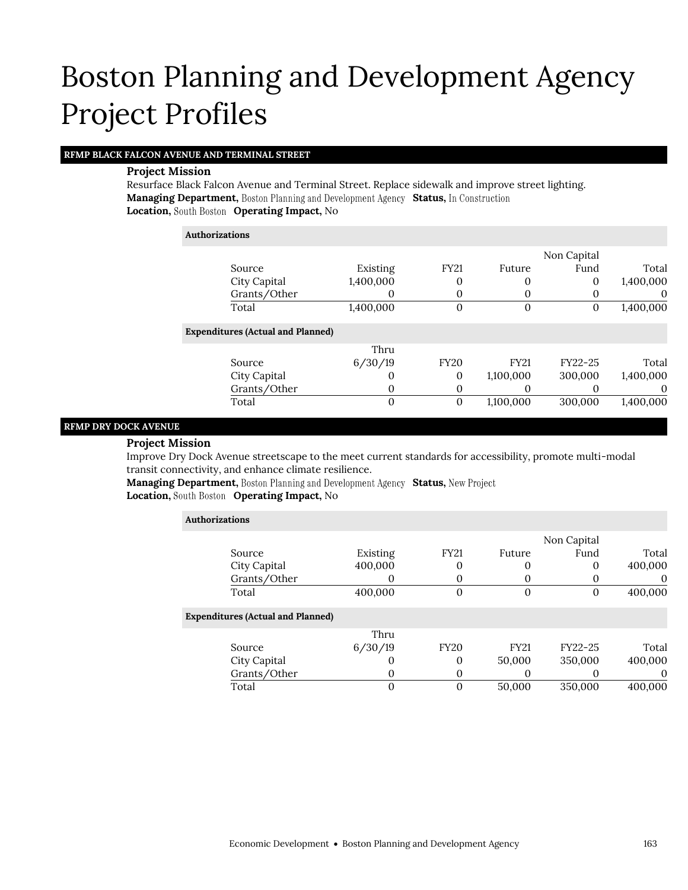### **RFMP BLACK FALCON AVENUE AND TERMINAL STREET**

#### **Project Mission**

Resurface Black Falcon Avenue and Terminal Street. Replace sidewalk and improve street lighting. **Managing Department,** Boston Planning and Development Agency Status, In Construction **Location, Operating Impact,** No

| <b>Authorizations</b> |                                          |           |                |             |             |           |
|-----------------------|------------------------------------------|-----------|----------------|-------------|-------------|-----------|
|                       |                                          |           |                |             | Non Capital |           |
|                       | Source                                   | Existing  | <b>FY21</b>    | Future      | Fund        | Total     |
|                       | City Capital                             | 1,400,000 | 0              | 0           | 0           | 1,400,000 |
|                       | Grants/Other                             |           | 0              | 0           | 0           | $\theta$  |
|                       | Total                                    | 1,400,000 | $\overline{0}$ | $\Omega$    | 0           | 1,400,000 |
|                       | <b>Expenditures (Actual and Planned)</b> |           |                |             |             |           |
|                       |                                          | Thru      |                |             |             |           |
|                       | Source                                   | 6/30/19   | <b>FY20</b>    | <b>FY21</b> | FY22-25     | Total     |
|                       | City Capital                             |           | $\theta$       | 1,100,000   | 300,000     | 1,400,000 |
|                       | Grants/Other                             | $\Omega$  | 0              | $\Omega$    | O           | $\theta$  |
|                       | Total                                    | $\Omega$  | $\mathbf{0}$   | 1,100,000   | 300,000     | 1,400,000 |

#### **RFMP DRY DOCK AVENUE**

#### **Project Mission**

Improve Dry Dock Avenue streetscape to the meet current standards for accessibility, promote multi-modal transit connectivity, and enhance climate resilience.

**Managing Department, Boston Planning and Development Agency Status, New Project** 

## **Location, Operating Impact,** No

| <b>Authorizations</b>                    |                   |              |                |             |          |
|------------------------------------------|-------------------|--------------|----------------|-------------|----------|
|                                          |                   |              |                | Non Capital |          |
| Source                                   | Existing          | <b>FY21</b>  | Future         | Fund        | Total    |
| City Capital                             | 400,000           | 0            | 0              | 0           | 400,000  |
| Grants/Other                             |                   | 0            | 0              |             | $\theta$ |
| Total                                    | 400,000           | $\mathbf{0}$ | $\overline{0}$ | 0           | 400,000  |
| <b>Expenditures (Actual and Planned)</b> |                   |              |                |             |          |
|                                          | Thru              |              |                |             |          |
| Source                                   | 6/30/19           | <b>FY20</b>  | <b>FY21</b>    | FY22-25     | Total    |
| City Capital                             | $\mathbf{\Omega}$ | 0            | 50,000         | 350,000     | 400,000  |
| Grants/Other                             | 0                 | 0            | $\mathcal{O}$  |             | $\theta$ |
| Total                                    | 0                 | 0            | 50,000         | 350,000     | 400.000  |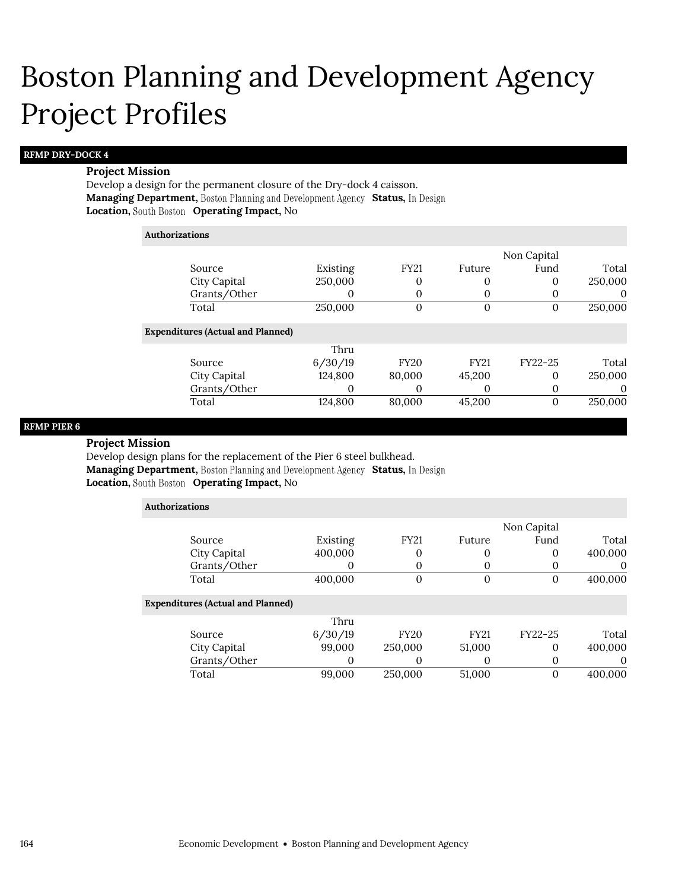#### **RFMP DRY-DOCK 4**

#### **Project Mission**

Develop a design for the permanent closure of the Dry-dock 4 caisson. **Managing Department,** Boston Planning and Development Agency Status, In Design **Location, Operating Impact,** No

#### **Authorizations**

|                                          |          |             |             | Non Capital |         |
|------------------------------------------|----------|-------------|-------------|-------------|---------|
| Source                                   | Existing | <b>FY21</b> | Future      | Fund        | Total   |
| City Capital                             | 250,000  | 0           | 0           | 0           | 250,000 |
| Grants/Other                             |          | 0           | 0           | $\theta$    | 0       |
| Total                                    | 250,000  | 0           | 0           | 0           | 250,000 |
| <b>Expenditures (Actual and Planned)</b> |          |             |             |             |         |
|                                          | Thru     |             |             |             |         |
| Source                                   | 6/30/19  | <b>FY20</b> | <b>FY21</b> | FY22-25     | Total   |
| City Capital                             | 124,800  | 80,000      | 45,200      | 0           | 250,000 |
| Grants/Other                             |          | O           | $\left($    | 0           | 0       |
| Total                                    | 124,800  | 80,000      | 45,200      | 0           | 250,000 |
|                                          |          |             |             |             |         |

### **RFMP PIER 6**

#### **Project Mission**

Develop design plans for the replacement of the Pier 6 steel bulkhead. **Managing Department, Boston Planning and Development Agency Status, In Design Location, Operating Impact,** No

| <b>Authorizations</b> |                                          |          |             |             |             |          |
|-----------------------|------------------------------------------|----------|-------------|-------------|-------------|----------|
|                       |                                          |          |             |             | Non Capital |          |
|                       | Source                                   | Existing | <b>FY21</b> | Future      | Fund        | Total    |
|                       | City Capital                             | 400,000  | 0           | $\theta$    | 0           | 400,000  |
|                       | Grants/Other                             | 0        | 0           | O           | 0           | $\theta$ |
|                       | Total                                    | 400,000  | $\Omega$    | $\Omega$    | $\Omega$    | 400,000  |
|                       | <b>Expenditures (Actual and Planned)</b> |          |             |             |             |          |
|                       |                                          | Thru     |             |             |             |          |
|                       | Source                                   | 6/30/19  | <b>FY20</b> | <b>FY21</b> | FY22-25     | Total    |
|                       | City Capital                             | 99,000   | 250,000     | 51,000      | $\Omega$    | 400,000  |
|                       | Grants/Other                             | 0        | 0           | $\theta$    | 0           | 0        |
|                       | Total                                    | 99,000   | 250,000     | 51,000      | 0           | 400,000  |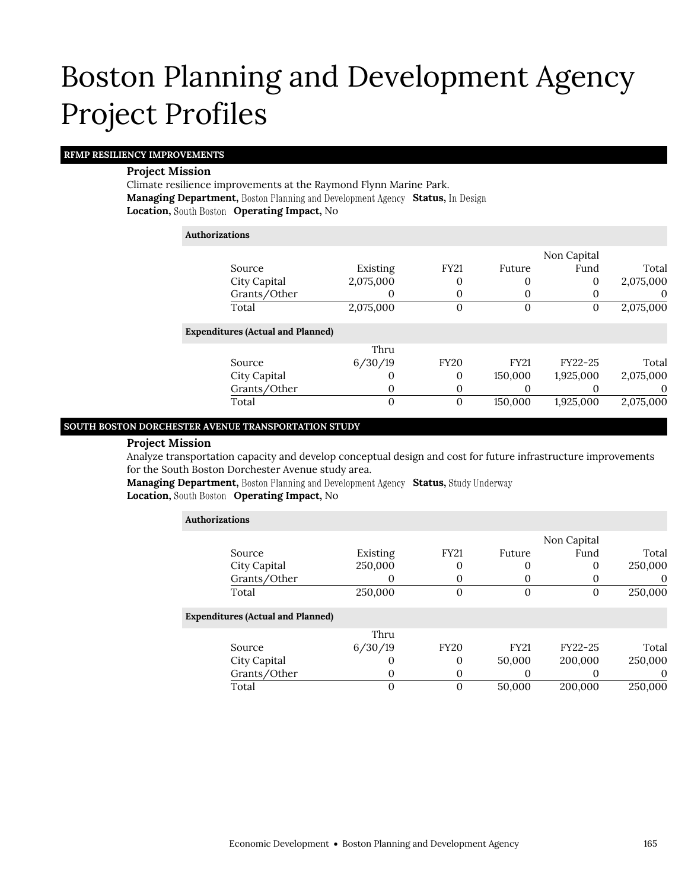### **RFMP RESILIENCY IMPROVEMENTS**

#### **Project Mission**

Climate resilience improvements at the Raymond Flynn Marine Park. **Managing Department, Boston Planning and Development Agency Status, In Design Location, South Boston Operating Impact, No** 

| <b>Authorizations</b> |                                          |           |              |             |             |           |
|-----------------------|------------------------------------------|-----------|--------------|-------------|-------------|-----------|
|                       |                                          |           |              |             | Non Capital |           |
| Source                |                                          | Existing  | <b>FY21</b>  | Future      | Fund        | Total     |
|                       | City Capital                             | 2,075,000 | 0            | O           | 0           | 2,075,000 |
|                       | Grants/Other                             | O         | 0            | $\theta$    |             | $\theta$  |
| Total                 |                                          | 2,075,000 | $\mathbf{0}$ | $\Omega$    | 0           | 2,075,000 |
|                       | <b>Expenditures (Actual and Planned)</b> |           |              |             |             |           |
|                       |                                          | Thru      |              |             |             |           |
| Source                |                                          | 6/30/19   | <b>FY20</b>  | <b>FY21</b> | FY22-25     | Total     |
|                       | City Capital                             | 0         | $\Omega$     | 150,000     | 1,925,000   | 2,075,000 |
|                       | Grants/Other                             | O         | 0            | O           |             | $\theta$  |
| Total                 |                                          | 0         | $\theta$     | 150,000     | 1,925,000   | 2,075,000 |

#### **SOUTH BOSTON DORCHESTER AVENUE TRANSPORTATION STUDY**

#### **Project Mission**

Analyze transportation capacity and develop conceptual design and cost for future infrastructure improvements for the South Boston Dorchester Avenue study area.

**Managing Department, Boston Planning and Development Agency Status, Study Underway Location, Operating Impact,** No

| <b>Authorizations</b>                    |          |             |               |               |          |  |
|------------------------------------------|----------|-------------|---------------|---------------|----------|--|
|                                          |          |             |               | Non Capital   |          |  |
| Source                                   | Existing | <b>FY21</b> | <b>Future</b> | Fund          | Total    |  |
| City Capital                             | 250,000  | 0           | 0             | 0             | 250,000  |  |
| Grants/Other                             |          | 0           | 0             | O             | $\theta$ |  |
| Total                                    | 250,000  | 0           | $\mathbf 0$   | 0             | 250,000  |  |
| <b>Expenditures (Actual and Planned)</b> |          |             |               |               |          |  |
|                                          | Thru     |             |               |               |          |  |
| Source                                   | 6/30/19  | <b>FY20</b> | <b>FY21</b>   | FY22-25       | Total    |  |
| City Capital                             |          | 0           | 50,000        | 200,000       | 250,000  |  |
| Grants/Other                             | 0        | 0           | $\Omega$      | $\mathcal{O}$ | $\theta$ |  |
| Total                                    | 0        | $\Omega$    | 50,000        | 200,000       | 250.000  |  |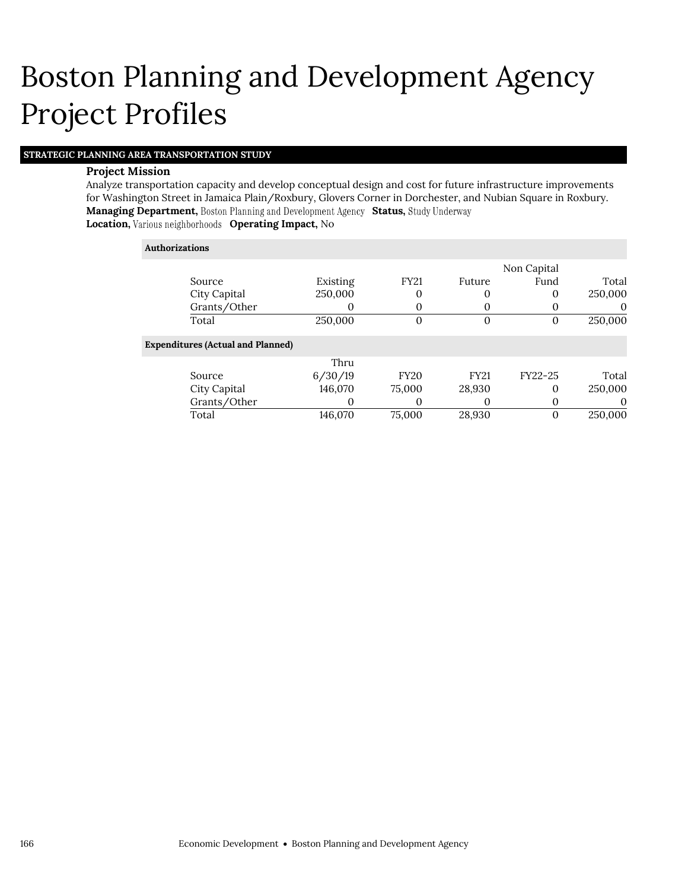### **STRATEGIC PLANNING AREA TRANSPORTATION STUDY**

#### **Project Mission**

Analyze transportation capacity and develop conceptual design and cost for future infrastructure improvements for Washington Street in Jamaica Plain/Roxbury, Glovers Corner in Dorchester, and Nubian Square in Roxbury. **Managing Department, Boston Planning and Development Agency Status, Study Underway Location, Various neighborhoods Operating Impact, No** 

#### **Authorizations**

|                                          |          |             |             | Non Capital |          |
|------------------------------------------|----------|-------------|-------------|-------------|----------|
| Source                                   | Existing | <b>FY21</b> | Future      | Fund        | Total    |
| City Capital                             | 250,000  | 0           | 0           | $\Omega$    | 250,000  |
| Grants/Other                             |          | 0           | 0           |             | 0        |
| Total                                    | 250,000  | 0           | $\theta$    | 0           | 250,000  |
| <b>Expenditures (Actual and Planned)</b> |          |             |             |             |          |
|                                          | Thru     |             |             |             |          |
| Source                                   | 6/30/19  | <b>FY20</b> | <b>FY21</b> | FY22-25     | Total    |
| City Capital                             | 146,070  | 75,000      | 28,930      | $\Omega$    | 250,000  |
| Grants/Other                             |          | 0           |             |             | $\theta$ |
| Total                                    | 146,070  | 75,000      | 28,930      |             | 250,000  |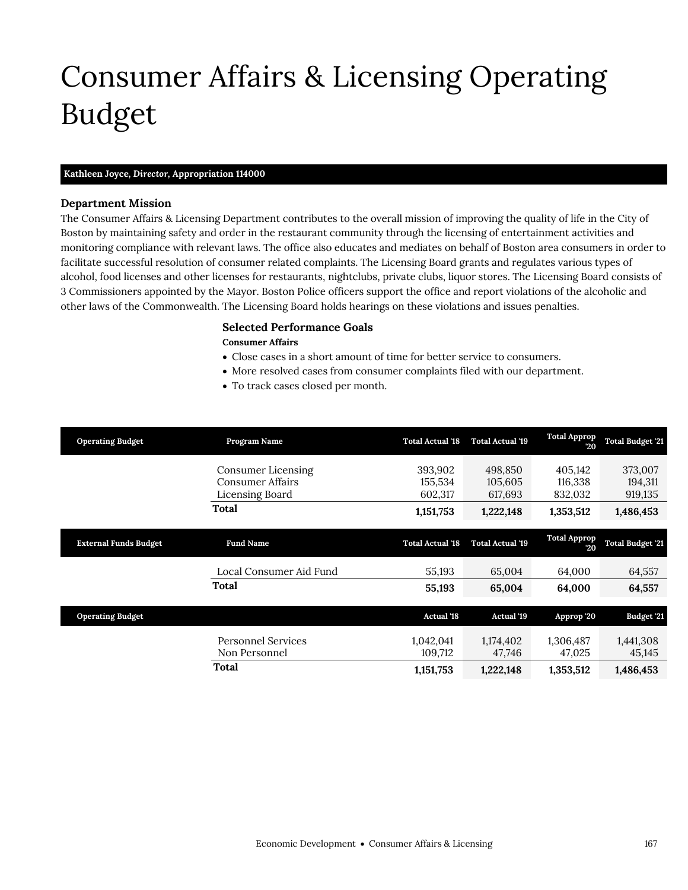# <span id="page-12-0"></span>Consumer Affairs & Licensing Operating Budget

## **Kathleen Joyce,** *Director,* **Appropriation 114000**

#### **Department Mission**

Consumer Affairs & Licensing

The Consumer Affairs & Licensing Department contributes to the overall mission of improving the quality of life in the City of Boston by maintaining safety and order in the restaurant community through the licensing of entertainment activities and monitoring compliance with relevant laws. The office also educates and mediates on behalf of Boston area consumers in order to facilitate successful resolution of consumer related complaints. The Licensing Board grants and regulates various types of alcohol, food licenses and other licenses for restaurants, nightclubs, private clubs, liquor stores. The Licensing Board consists of 3 Commissioners appointed by the Mayor. Boston Police officers support the office and report violations of the alcoholic and other laws of the Commonwealth. The Licensing Board holds hearings on these violations and issues penalties.

## **Selected Performance Goals**

#### **Consumer Affairs**

- Close cases in a short amount of time for better service to consumers.
- More resolved cases from consumer complaints filed with our department.
- To track cases closed per month.

| <b>Operating Budget</b>      | Program Name                               | <b>Total Actual '18</b> | <b>Total Actual '19</b> | <b>Total Approp</b><br>20 | <b>Total Budget 21</b>  |
|------------------------------|--------------------------------------------|-------------------------|-------------------------|---------------------------|-------------------------|
|                              | Consumer Licensing                         | 393,902                 | 498,850                 | 405,142                   | 373,007                 |
|                              | <b>Consumer Affairs</b>                    | 155,534                 | 105,605                 | 116,338                   | 194,311                 |
|                              | Licensing Board                            | 602,317                 | 617,693                 | 832,032                   | 919,135                 |
|                              | <b>Total</b>                               | 1,151,753               | 1,222,148               | 1,353,512                 | 1,486,453               |
| <b>External Funds Budget</b> | <b>Fund Name</b>                           | <b>Total Actual '18</b> | <b>Total Actual '19</b> | <b>Total Approp</b><br>20 | <b>Total Budget '21</b> |
|                              | Local Consumer Aid Fund                    | 55,193                  | 65,004                  | 64,000                    | 64,557                  |
|                              | <b>Total</b>                               | 55,193                  | 65,004                  | 64,000                    | 64,557                  |
| <b>Operating Budget</b>      |                                            | <b>Actual '18</b>       | <b>Actual 19</b>        | Approp '20                | Budget '21              |
|                              | <b>Personnel Services</b><br>Non Personnel | 1,042,041<br>109,712    | 1,174,402<br>47,746     | 1,306,487<br>47,025       | 1,441,308<br>45,145     |
|                              | Total                                      | 1,151,753               | 1,222,148               | 1,353,512                 | 1,486,453               |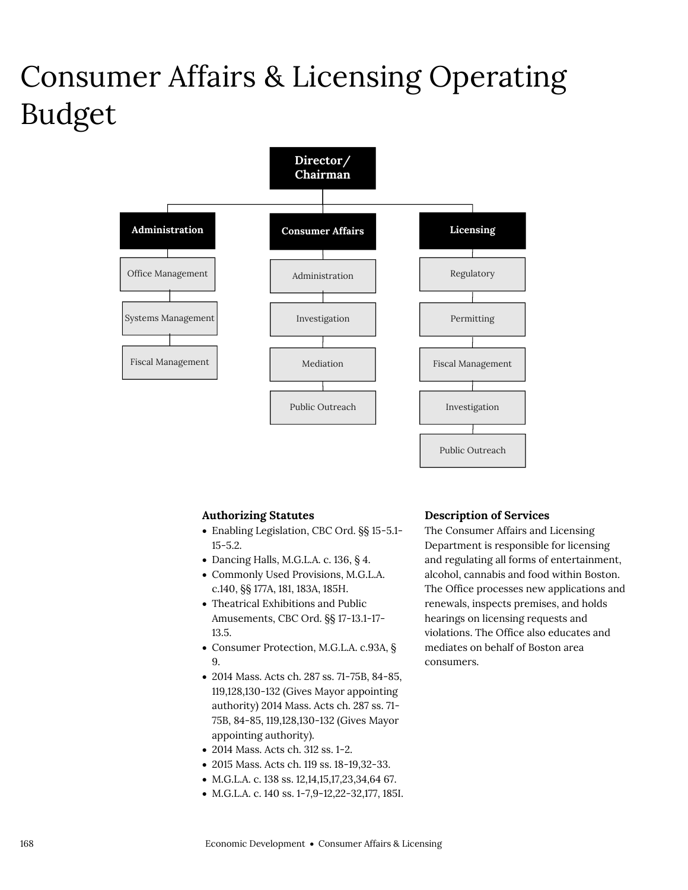## Consumer Affairs & Licensing Operating Budget



## **Authorizing Statutes**

- Enabling Legislation, CBC Ord. §§ 15-5.1- 15-5.2.
- Dancing Halls, M.G.L.A. c. 136,  $\S$  4.
- Commonly Used Provisions, M.G.L.A. c.140, §§ 177A, 181, 183A, 185H.
- Theatrical Exhibitions and Public Amusements, CBC Ord. §§ 17-13.1-17- 13.5.
- Consumer Protection, M.G.L.A. c.93A, § 9.
- 2014 Mass. Acts ch. 287 ss. 71-75B, 84-85, 119,128,130-132 (Gives Mayor appointing authority) 2014 Mass. Acts ch. 287 ss. 71- 75B, 84-85, 119,128,130-132 (Gives Mayor appointing authority).
- 2014 Mass. Acts ch. 312 ss. 1-2.
- 2015 Mass. Acts ch. 119 ss. 18-19,32-33.
- M.G.L.A. c. 138 ss. 12,14,15,17,23,34,64 67.
- M.G.L.A. c. 140 ss. 1-7,9-12,22-32,177, 185I.

#### **Description of Services**

The Consumer Affairs and Licensing Department is responsible for licensing and regulating all forms of entertainment, alcohol, cannabis and food within Boston. The Office processes new applications and renewals, inspects premises, and holds hearings on licensing requests and violations. The Office also educates and mediates on behalf of Boston area consumers.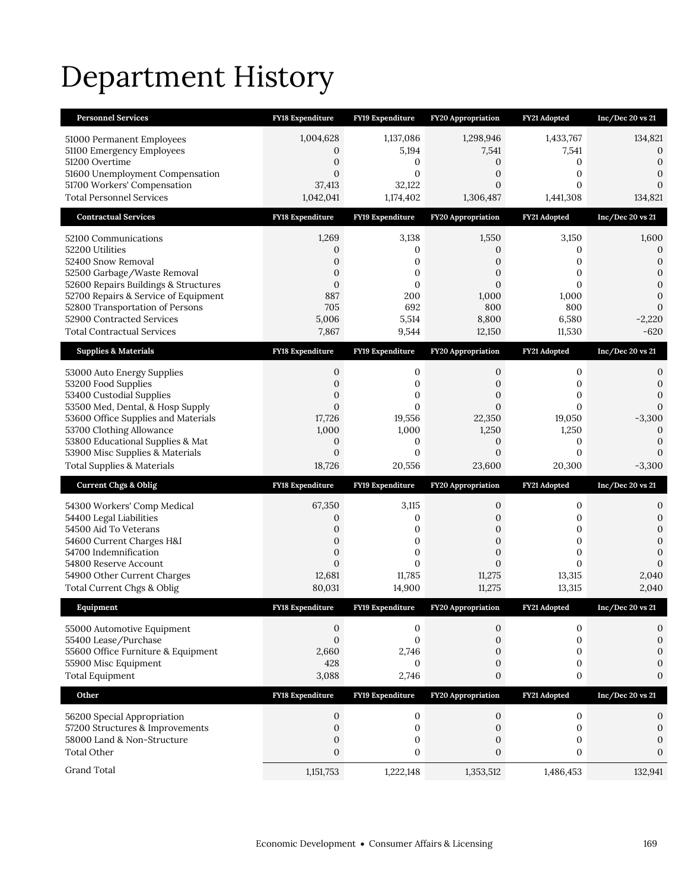# Department History

| <b>Personnel Services</b>                                                    | FY18 Expenditure                 | <b>FY19 Expenditure</b>       | <b>FY20 Appropriation</b>      | FY21 Adopted                       | Inc/Dec 20 vs 21                 |
|------------------------------------------------------------------------------|----------------------------------|-------------------------------|--------------------------------|------------------------------------|----------------------------------|
| 51000 Permanent Employees                                                    | 1,004,628                        | 1,137,086                     | 1,298,946                      | 1,433,767                          | 134,821                          |
| 51100 Emergency Employees                                                    | 0                                | 5,194                         | 7,541                          | 7,541                              | 0                                |
| 51200 Overtime                                                               | $\boldsymbol{0}$                 | 0                             | 0                              | 0                                  | $\mathbf{0}$                     |
| 51600 Unemployment Compensation<br>51700 Workers' Compensation               | $\mathbf{0}$<br>37,413           | $\mathbf{0}$<br>32,122        | 0<br>$\mathbf{0}$              | 0<br>0                             | $\overline{0}$<br>$\overline{0}$ |
| <b>Total Personnel Services</b>                                              | 1,042,041                        | 1,174,402                     | 1,306,487                      | 1,441,308                          | 134,821                          |
| <b>Contractual Services</b>                                                  | FY18 Expenditure                 | FY19 Expenditure              | FY20 Appropriation             | FY21 Adopted                       | Inc/Dec 20 vs 21                 |
| 52100 Communications                                                         | 1,269                            | 3,138                         | 1,550                          | 3,150                              | 1,600                            |
| 52200 Utilities                                                              | 0                                | 0                             | 0                              | 0                                  | 0                                |
| 52400 Snow Removal                                                           | 0                                | 0                             | 0                              | 0                                  | $\mathbf{0}$                     |
| 52500 Garbage/Waste Removal                                                  | $\mathbf{0}$                     | 0                             | $\overline{0}$                 | 0                                  | $\boldsymbol{0}$                 |
| 52600 Repairs Buildings & Structures<br>52700 Repairs & Service of Equipment | $\mathbf{0}$<br>887              | $\mathbf{0}$<br>200           | $\mathbf{0}$<br>1,000          | $\Omega$<br>1,000                  | $\overline{0}$<br>$\overline{0}$ |
| 52800 Transportation of Persons                                              | 705                              | 692                           | 800                            | 800                                | $\overline{0}$                   |
| 52900 Contracted Services                                                    | 5,006                            | 5,514                         | 8,800                          | 6,580                              | $-2,220$                         |
| <b>Total Contractual Services</b>                                            | 7,867                            | 9,544                         | 12,150                         | 11,530                             | $-620$                           |
| <b>Supplies &amp; Materials</b>                                              | <b>FY18 Expenditure</b>          | FY19 Expenditure              | <b>FY20 Appropriation</b>      | FY21 Adopted                       | Inc/Dec 20 vs 21                 |
| 53000 Auto Energy Supplies                                                   | 0                                | 0                             | 0                              | 0                                  | 0                                |
| 53200 Food Supplies                                                          | $\boldsymbol{0}$                 | 0                             | 0                              | 0                                  | $\mathbf{0}$                     |
| 53400 Custodial Supplies                                                     | $\boldsymbol{0}$                 | $\mathbf{0}$                  | 0                              | 0                                  | $\overline{0}$                   |
| 53500 Med, Dental, & Hosp Supply<br>53600 Office Supplies and Materials      | $\mathbf{0}$<br>17,726           | $\mathbf{0}$<br>19,556        | $\overline{0}$<br>22,350       | $\overline{0}$<br>19,050           | 0<br>$-3,300$                    |
| 53700 Clothing Allowance                                                     | 1,000                            | 1,000                         | 1,250                          | 1,250                              | 0                                |
| 53800 Educational Supplies & Mat                                             | $\mathbf{0}$                     | 0                             | $\mathbf{0}$                   | 0                                  | 0                                |
|                                                                              |                                  |                               |                                |                                    |                                  |
| 53900 Misc Supplies & Materials                                              | $\mathbf{0}$                     | $\mathbf{0}$                  | $\overline{0}$                 | $\overline{0}$                     | $\Omega$                         |
| <b>Total Supplies &amp; Materials</b>                                        | 18,726                           | 20,556                        | 23,600                         | 20,300                             | $-3,300$                         |
| <b>Current Chgs &amp; Oblig</b>                                              | <b>FY18 Expenditure</b>          | FY19 Expenditure              | <b>FY20 Appropriation</b>      | FY21 Adopted                       | Inc/Dec 20 vs 21                 |
| 54300 Workers' Comp Medical                                                  | 67,350                           | 3,115                         | 0                              | 0                                  | 0                                |
| 54400 Legal Liabilities                                                      | 0                                | 0                             | 0                              | 0                                  | 0                                |
| 54500 Aid To Veterans                                                        | $\boldsymbol{0}$                 | 0                             | 0                              | $\boldsymbol{0}$                   | 0                                |
| 54600 Current Charges H&I                                                    | $\mathbf{0}$                     | $\mathbf{0}$                  | $\mathbf{0}$                   | $\boldsymbol{0}$                   | $\overline{0}$                   |
| 54700 Indemnification                                                        | $\boldsymbol{0}$<br>$\mathbf{0}$ | $\boldsymbol{0}$<br>$\Omega$  | $\mathbf{0}$<br>$\overline{0}$ | $\boldsymbol{0}$<br>$\overline{0}$ | $\overline{0}$<br>$\mathbf{0}$   |
| 54800 Reserve Account<br>54900 Other Current Charges                         | 12,681                           | 11,785                        | 11,275                         | 13,315                             | 2,040                            |
| Total Current Chgs & Oblig                                                   | 80,031                           | 14,900                        | 11,275                         | 13,315                             | 2,040                            |
| Equipment                                                                    | <b>FY18 Expenditure</b>          | FY19 Expenditure              | <b>FY20 Appropriation</b>      | FY21 Adopted                       | Inc/Dec 20 vs 21                 |
| 55000 Automotive Equipment                                                   | 0                                | 0                             | 0                              | 0                                  | 0                                |
| 55400 Lease/Purchase                                                         | $\mathbf{0}$                     | $\boldsymbol{0}$              | $\mathbf{0}$                   | 0                                  | 0                                |
| 55600 Office Furniture & Equipment                                           | 2,660                            | 2,746                         | 0                              | 0                                  | 0                                |
| 55900 Misc Equipment                                                         | 428                              | $\mathbf{0}$                  | $\mathbf{0}$                   | $\boldsymbol{0}$                   | 0                                |
| <b>Total Equipment</b>                                                       | 3,088                            | 2,746                         | 0                              | 0                                  | $\mathbf{0}$                     |
| Other                                                                        | FY18 Expenditure                 | FY19 Expenditure              | <b>FY20 Appropriation</b>      | FY21 Adopted                       | Inc/Dec 20 vs 21                 |
| 56200 Special Appropriation                                                  | 0                                | 0                             | 0                              | 0                                  | 0                                |
| 57200 Structures & Improvements                                              | 0                                | $\boldsymbol{0}$              | 0                              | 0                                  | $\boldsymbol{0}$                 |
| 58000 Land & Non-Structure                                                   | $\mathbf{0}$                     | 0                             | 0                              | 0                                  | 0                                |
| <b>Total Other</b><br>Grand Total                                            | $\boldsymbol{0}$<br>1,151,753    | $\boldsymbol{0}$<br>1,222,148 | $\boldsymbol{0}$<br>1,353,512  | $\boldsymbol{0}$<br>1,486,453      | $\mathbf{0}$<br>132,941          |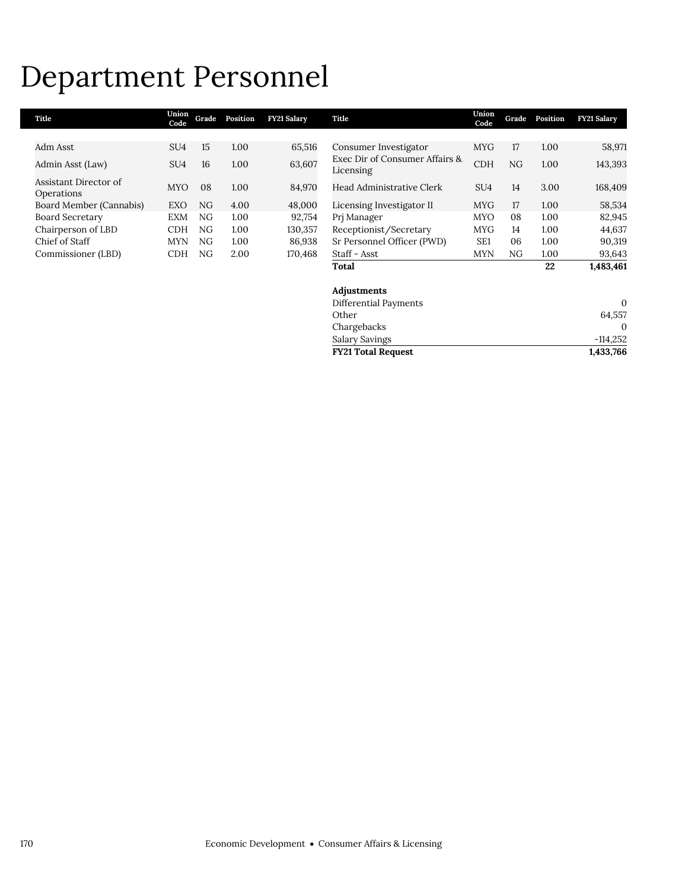## Department Personnel

| Title                               | Union<br>Code   | Grade | Position | <b>FY21 Salary</b> | Title                                       | Union<br>Code   | Grade | Position | <b>FY21 Salary</b> |
|-------------------------------------|-----------------|-------|----------|--------------------|---------------------------------------------|-----------------|-------|----------|--------------------|
|                                     |                 |       |          |                    |                                             |                 |       |          |                    |
| Adm Asst                            | SU <sub>4</sub> | 15    | 1.00     | 65,516             | Consumer Investigator                       | <b>MYG</b>      | 17    | 1.00     | 58,971             |
| Admin Asst (Law)                    | SU <sub>4</sub> | 16    | 1.00     | 63,607             | Exec Dir of Consumer Affairs &<br>Licensing | <b>CDH</b>      | NG    | 1.00     | 143,393            |
| Assistant Director of<br>Operations | <b>MYO</b>      | 08    | 1.00     | 84,970             | Head Administrative Clerk                   | SU <sub>4</sub> | 14    | 3.00     | 168,409            |
| Board Member (Cannabis)             | <b>EXO</b>      | NG    | 4.00     | 48,000             | Licensing Investigator II                   | <b>MYG</b>      | 17    | 1.00     | 58,534             |
| <b>Board Secretary</b>              | <b>EXM</b>      | NG.   | 1.00     | 92,754             | Pri Manager                                 | <b>MYO</b>      | 08    | 1.00     | 82,945             |
| Chairperson of LBD                  | <b>CDH</b>      | ΝG    | 1.00     | 130.357            | Receptionist/Secretary                      | <b>MYG</b>      | 14    | 1.00     | 44,637             |
| Chief of Staff                      | <b>MYN</b>      | NG.   | 1.00     | 86,938             | Sr Personnel Officer (PWD)                  | SE <sub>1</sub> | 06    | 1.00     | 90,319             |
| Commissioner (LBD)                  | <b>CDH</b>      | NG    | 2.00     | 170.468            | Staff - Asst                                | <b>MYN</b>      | NG    | 1.00     | 93,643             |
|                                     |                 |       |          |                    | Total                                       |                 |       | 22       | 1,483,461          |
|                                     |                 |       |          |                    | Adjustments                                 |                 |       |          |                    |

| <b>FY21 Total Request</b> | 1,433,766  |
|---------------------------|------------|
| Salary Savings            | $-114.252$ |
| Chargebacks               | $\Omega$   |
| Other                     | 64.557     |
| Differential Payments     | $\theta$   |
|                           |            |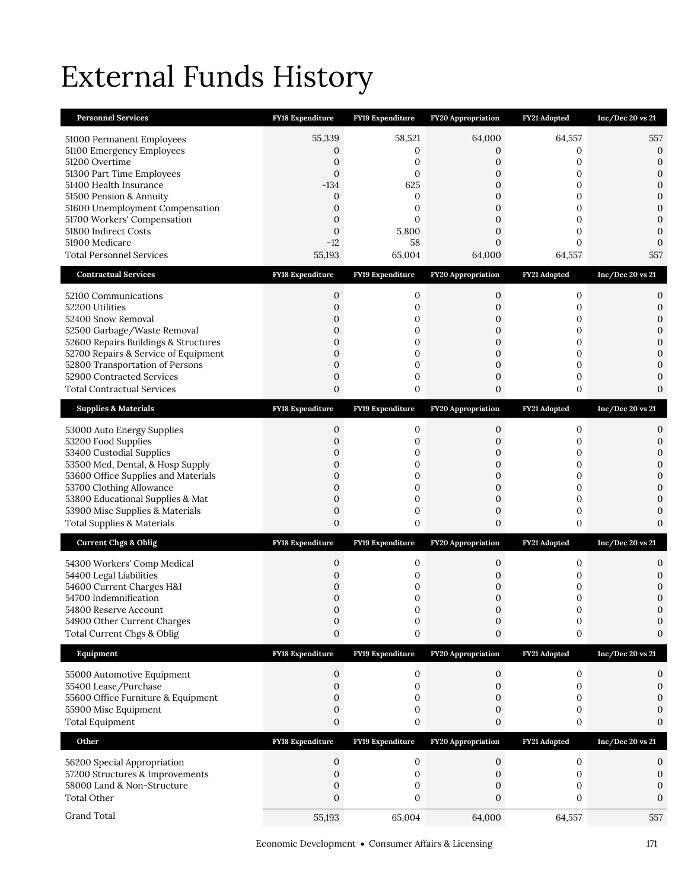# External Funds History

| <b>Personnel Services</b>                                                | FY18 Expenditure                 | FY19 Expenditure      | FY20 Appropriation        | FY21 Adopted      | Inc/Dec 20 vs 21                 |
|--------------------------------------------------------------------------|----------------------------------|-----------------------|---------------------------|-------------------|----------------------------------|
| 51000 Permanent Employees                                                | 55,339                           | 58,521                | 64,000                    | 64,557            | 557                              |
| 51100 Emergency Employees                                                | 0                                | 0                     | 0                         | 0                 | $\boldsymbol{0}$                 |
| 51200 Overtime<br>51300 Part Time Employees                              | 0<br>0                           | 0<br>0                | $\overline{0}$<br>0       | 0<br>0            | $\mathbf{0}$<br>$\boldsymbol{0}$ |
| 51400 Health Insurance                                                   | $-134$                           | 625                   | $\mathbf{0}$              | $\mathbf{0}$      | $\mathbf{0}$                     |
| 51500 Pension & Annuity                                                  | 0                                | 0                     | 0                         | 0                 | $\mathbf{0}$                     |
| 51600 Unemployment Compensation                                          | 0                                | $\mathbf{0}$          | $\overline{0}$            | $\mathbf{0}$      | $\mathbf{0}$                     |
| 51700 Workers' Compensation<br>51800 Indirect Costs                      | $\overline{0}$<br>$\overline{0}$ | $\Omega$<br>5,800     | $\overline{0}$<br>0       | $\mathbf{0}$<br>0 | $\mathbf{0}$<br>$\mathbf{0}$     |
| 51900 Medicare                                                           | $-12$                            | 58                    | $\overline{0}$            | $\Omega$          | $\Omega$                         |
| <b>Total Personnel Services</b>                                          | 55,193                           | 65,004                | 64,000                    | 64,557            | 557                              |
| <b>Contractual Services</b>                                              | <b>FY18 Expenditure</b>          | FY19 Expenditure      | <b>FY20 Appropriation</b> | FY21 Adopted      | Inc/Dec 20 vs 21                 |
| 52100 Communications                                                     | 0                                | 0                     | 0                         | 0                 | $\boldsymbol{0}$                 |
| 52200 Utilities                                                          | 0                                | 0                     | 0                         | 0                 | $\boldsymbol{0}$                 |
| 52400 Snow Removal                                                       | 0                                | 0                     | 0                         | 0                 | $\boldsymbol{0}$                 |
| 52500 Garbage/Waste Removal<br>52600 Repairs Buildings & Structures      | 0<br>$\overline{0}$              | 0<br>$\boldsymbol{0}$ | 0<br>0                    | 0<br>0            | $\mathbf{0}$<br>$\boldsymbol{0}$ |
| 52700 Repairs & Service of Equipment                                     | $\overline{0}$                   | $\boldsymbol{0}$      | $\overline{0}$            | $\overline{0}$    | $\mathbf{0}$                     |
| 52800 Transportation of Persons                                          | $\mathbf{0}$                     | $\boldsymbol{0}$      | $\boldsymbol{0}$          | 0                 | $\mathbf{0}$                     |
| 52900 Contracted Services                                                | $\mathbf{0}$                     | $\boldsymbol{0}$      | $\boldsymbol{0}$          | 0                 | $\mathbf{0}$                     |
| <b>Total Contractual Services</b>                                        | 0                                | 0                     | 0                         | 0                 | $\mathbf{0}$                     |
| <b>Supplies &amp; Materials</b>                                          | <b>FY18 Expenditure</b>          | FY19 Expenditure      | <b>FY20 Appropriation</b> | FY21 Adopted      | Inc/Dec 20 vs 21                 |
| 53000 Auto Energy Supplies                                               | 0                                | 0                     | 0                         | 0                 | 0                                |
| 53200 Food Supplies                                                      | $\overline{0}$                   | 0                     | 0                         | 0                 | $\mathbf{0}$                     |
| 53400 Custodial Supplies<br>53500 Med, Dental, & Hosp Supply             | 0<br>$\mathbf{0}$                | 0<br>$\boldsymbol{0}$ | 0<br>$\boldsymbol{0}$     | 0<br>0            | $\mathbf{0}$<br>$\mathbf{0}$     |
| 53600 Office Supplies and Materials                                      | 0                                | 0                     | 0                         | 0                 | $\mathbf{0}$                     |
| 53700 Clothing Allowance                                                 | $\mathbf{0}$                     | 0                     | $\boldsymbol{0}$          | 0                 | $\overline{0}$                   |
| 53800 Educational Supplies & Mat                                         | $\mathbf{0}$                     | 0                     | $\boldsymbol{0}$          | 0                 | $\mathbf{0}$                     |
| 53900 Misc Supplies & Materials<br><b>Total Supplies &amp; Materials</b> | $\mathbf{0}$<br>$\boldsymbol{0}$ | $\boldsymbol{0}$<br>0 | 0<br>$\boldsymbol{0}$     | 0<br>0            | $\mathbf{0}$<br>$\mathbf{0}$     |
|                                                                          |                                  |                       |                           |                   |                                  |
| <b>Current Chgs &amp; Oblig</b>                                          | <b>FY18 Expenditure</b>          | FY19 Expenditure      | <b>FY20 Appropriation</b> | FY21 Adopted      | Inc/Dec 20 vs 21                 |
| 54300 Workers' Comp Medical                                              | 0                                | 0                     | 0                         | 0                 | 0                                |
| 54400 Legal Liabilities<br>54600 Current Charges H&I                     | 0<br>0                           | 0<br>0                | 0<br>0                    | 0<br>0            | $\mathbf{0}$<br>$\mathbf{0}$     |
| 54700 Indemnification                                                    | 0                                | 0                     | 0                         | 0                 | $\mathbf{0}$                     |
| 54800 Reserve Account                                                    | $\Omega$                         | $\Omega$              | $\Omega$                  | $\Omega$          | $\Omega$                         |
| 54900 Other Current Charges                                              | 0                                | $\boldsymbol{0}$      | 0                         | $\boldsymbol{0}$  | 0                                |
| Total Current Chgs & Oblig                                               | $\mathbf{0}$                     | 0                     | 0                         | 0                 | 0                                |
| Equipment                                                                | FY18 Expenditure                 | FY19 Expenditure      | FY20 Appropriation        | FY21 Adopted      | Inc/Dec 20 vs 21                 |
| 55000 Automotive Equipment                                               | 0                                | $\boldsymbol{0}$      | 0                         | $\boldsymbol{0}$  | 0                                |
| 55400 Lease/Purchase                                                     | 0                                | 0                     | 0                         | 0                 | 0                                |
| 55600 Office Furniture & Equipment<br>55900 Misc Equipment               | $\overline{0}$<br>0              | 0<br>0                | $\mathbf{0}$<br>0         | 0<br>0            | $\Omega$                         |
| <b>Total Equipment</b>                                                   | $\boldsymbol{0}$                 | 0                     | $\boldsymbol{0}$          | 0                 | $\mathbf{0}$                     |
| Other                                                                    | FY18 Expenditure                 | FY19 Expenditure      | <b>FY20 Appropriation</b> | FY21 Adopted      | Inc/Dec 20 vs 21                 |
| 56200 Special Appropriation                                              | 0                                | 0                     | 0                         | 0                 | 0                                |
| 57200 Structures & Improvements                                          | 0                                | 0                     | 0                         | $\mathbf{0}$      | 0                                |
| 58000 Land & Non-Structure                                               | 0                                | 0                     | 0                         | 0                 | 0                                |
| <b>Total Other</b>                                                       | $\boldsymbol{0}$                 | 0                     | 0                         | 0                 | 0                                |
| Grand Total                                                              | 55,193                           | 65,004                | 64,000                    | 64,557            | 557                              |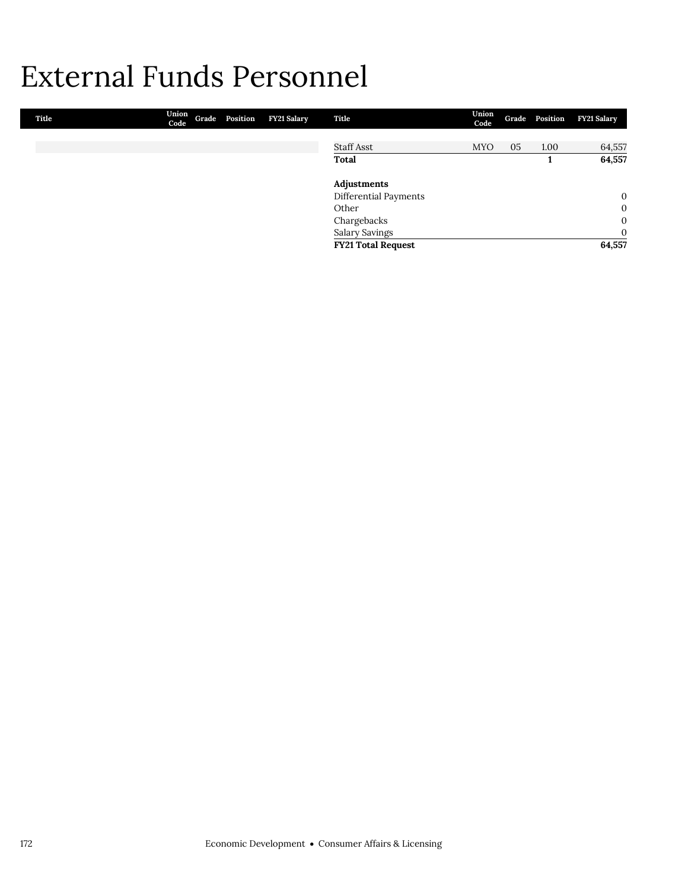## External Funds Personnel

| Title | Union<br>Code | Grade Position | FY21 Salary | Title                     | Union<br>Code |    | Grade Position | <b>FY21 Salary</b> |
|-------|---------------|----------------|-------------|---------------------------|---------------|----|----------------|--------------------|
|       |               |                |             |                           |               |    |                |                    |
|       |               |                |             | <b>Staff Asst</b>         | <b>MYO</b>    | 05 | 1.00           | 64,557             |
|       |               |                |             | <b>Total</b>              |               |    |                | 64,557             |
|       |               |                |             | Adjustments               |               |    |                |                    |
|       |               |                |             | Differential Payments     |               |    |                | $\mathbf{0}$       |
|       |               |                |             | Other                     |               |    |                | $\mathbf{0}$       |
|       |               |                |             | Chargebacks               |               |    |                | $\mathbf{0}$       |
|       |               |                |             | Salary Savings            |               |    |                | $\mathbf{0}$       |
|       |               |                |             | <b>FY21 Total Request</b> |               |    |                | 64,557             |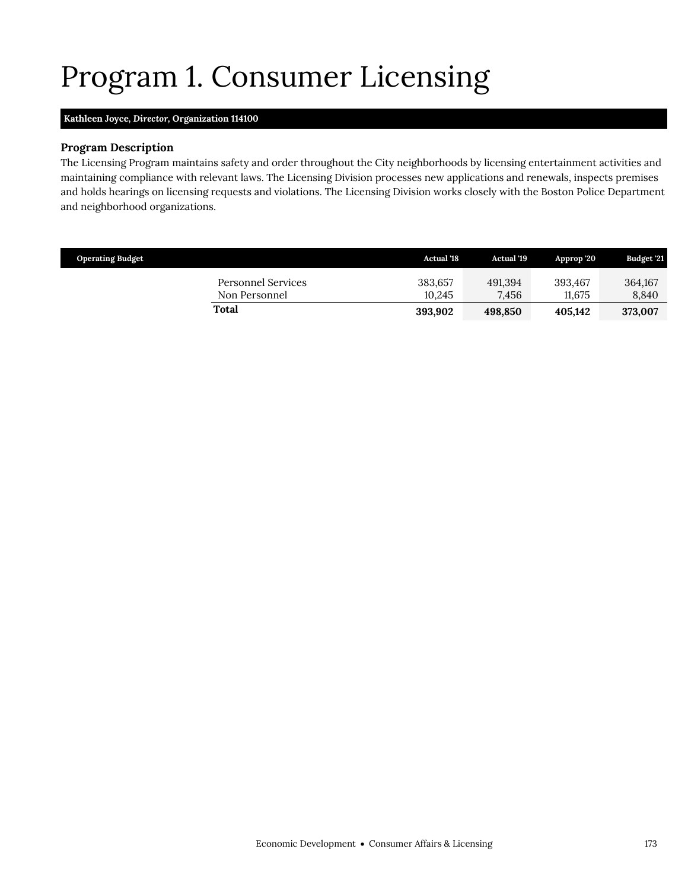# <span id="page-18-0"></span>Program 1. Consumer Licensing

### **Kathleen Joyce,** *Director,* **Organization 114100**

### **Program Description**

The Licensing Program maintains safety and order throughout the City neighborhoods by licensing entertainment activities and maintaining compliance with relevant laws. The Licensing Division processes new applications and renewals, inspects premises and holds hearings on licensing requests and violations. The Licensing Division works closely with the Boston Police Department and neighborhood organizations.

| <b>Operating Budget</b> |                                     | <b>Actual '18</b> | <b>Actual</b> '19 | Approp 20         | <b>Budget '21</b> |
|-------------------------|-------------------------------------|-------------------|-------------------|-------------------|-------------------|
|                         | Personnel Services<br>Non Personnel | 383,657<br>10.245 | 491.394<br>7.456  | 393.467<br>11.675 | 364,167<br>8.840  |
| Total                   |                                     | 393,902           | 498.850           | 405.142           | 373,007           |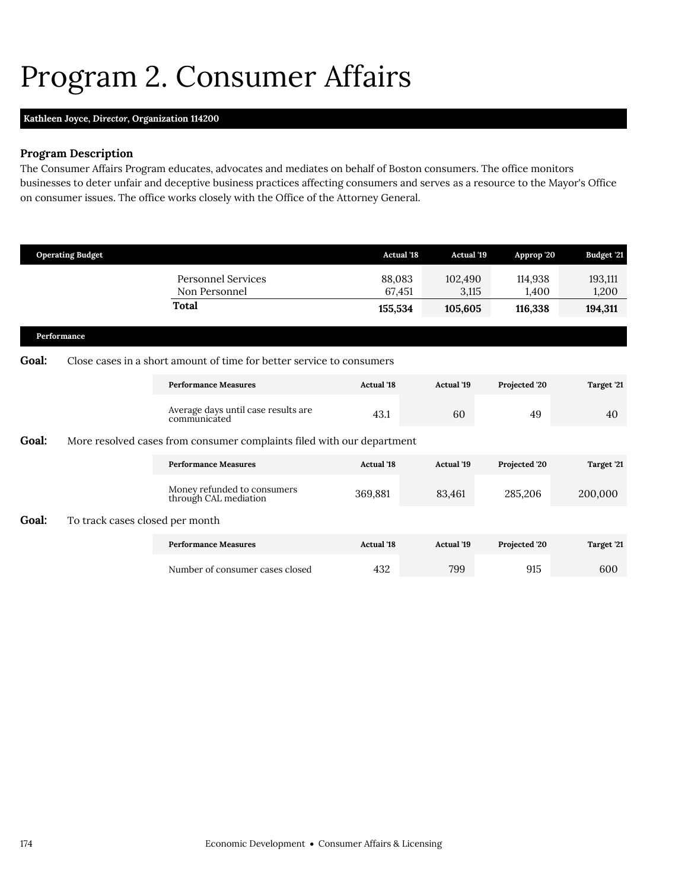## <span id="page-19-0"></span>Program 2. Consumer Affairs

## **Kathleen Joyce,** *Director,* **Organization 114200**

## **Program Description**

The Consumer Affairs Program educates, advocates and mediates on behalf of Boston consumers. The office monitors businesses to deter unfair and deceptive business practices affecting consumers and serves as a resource to the Mayor's Office on consumer issues. The office works closely with the Office of the Attorney General.

|              | <b>Operating Budget</b>         |                                                                        | <b>Actual '18</b> | <b>Actual</b> '19 | Approp '20       | <b>Budget '21</b> |
|--------------|---------------------------------|------------------------------------------------------------------------|-------------------|-------------------|------------------|-------------------|
|              |                                 | <b>Personnel Services</b><br>Non Personnel                             | 88,083<br>67,451  | 102,490<br>3,115  | 114,938<br>1,400 | 193,111<br>1,200  |
|              |                                 | Total                                                                  | 155,534           | 105,605           | 116,338          | 194,311           |
|              | Performance                     |                                                                        |                   |                   |                  |                   |
| <b>Goal:</b> |                                 | Close cases in a short amount of time for better service to consumers  |                   |                   |                  |                   |
|              |                                 | <b>Performance Measures</b>                                            | <b>Actual</b> '18 | <b>Actual '19</b> | Projected '20    | Target '21        |
|              |                                 | Average days until case results are<br>communicated                    | 43.1              | 60                | 49               | 40                |
| <b>Goal:</b> |                                 | More resolved cases from consumer complaints filed with our department |                   |                   |                  |                   |
|              |                                 | <b>Performance Measures</b>                                            | <b>Actual</b> '18 | <b>Actual</b> '19 | Projected '20    | Target '21        |
|              |                                 | Money refunded to consumers<br>through CAL mediation                   | 369,881           | 83,461            | 285,206          | 200,000           |
| Goal:        | To track cases closed per month |                                                                        |                   |                   |                  |                   |
|              |                                 | <b>Performance Measures</b>                                            | <b>Actual</b> '18 | <b>Actual</b> '19 | Projected '20    | Target '21        |
|              |                                 | Number of consumer cases closed                                        | 432               | 799               | 915              | 600               |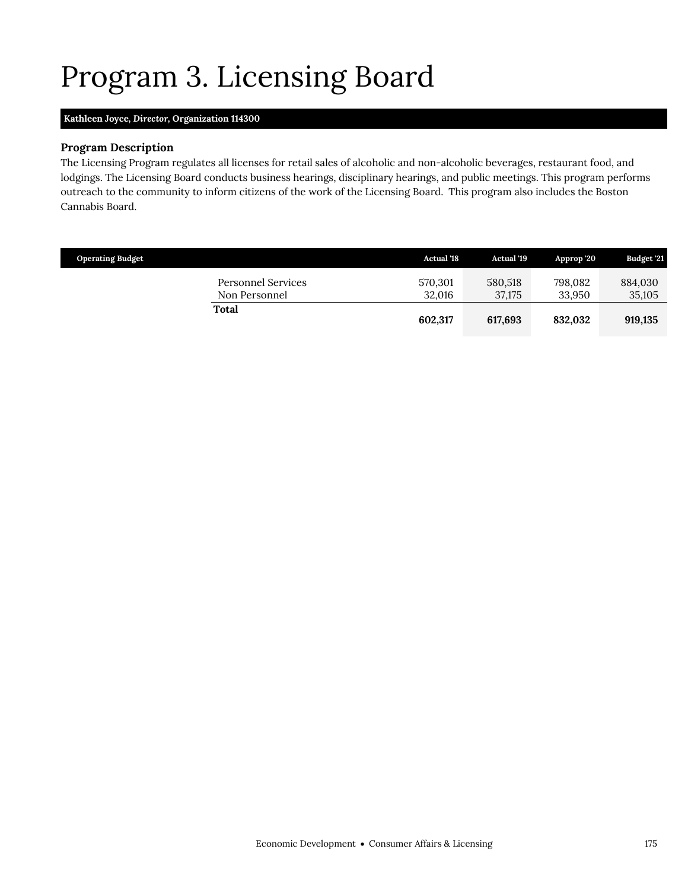# <span id="page-20-0"></span>Program 3. Licensing Board

## **Kathleen Joyce,** *Director,* **Organization 114300**

### **Program Description**

The Licensing Program regulates all licenses for retail sales of alcoholic and non-alcoholic beverages, restaurant food, and lodgings. The Licensing Board conducts business hearings, disciplinary hearings, and public meetings. This program performs outreach to the community to inform citizens of the work of the Licensing Board. This program also includes the Boston Cannabis Board.

| <b>Operating Budget</b>                    | <b>Actual '18</b> | <b>Actual '19</b> | Approp 20         | <b>Budget '21</b> |
|--------------------------------------------|-------------------|-------------------|-------------------|-------------------|
| <b>Personnel Services</b><br>Non Personnel | 570,301<br>32.016 | 580.518<br>37.175 | 798.082<br>33.950 | 884,030<br>35,105 |
| Total                                      | 602,317           | 617,693           | 832.032           | 919,135           |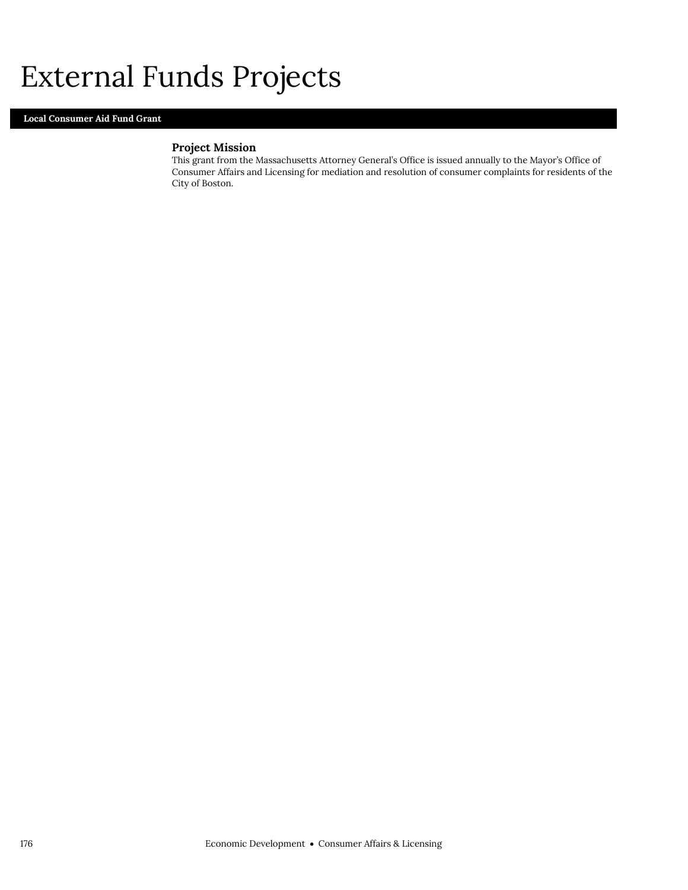## External Funds Projects

### **Local Consumer Aid Fund Grant**

## **Project Mission**

This grant from the Massachusetts Attorney General's Office is issued annually to the Mayor's Office of Consumer Affairs and Licensing for mediation and resolution of consumer complaints for residents of the City of Boston.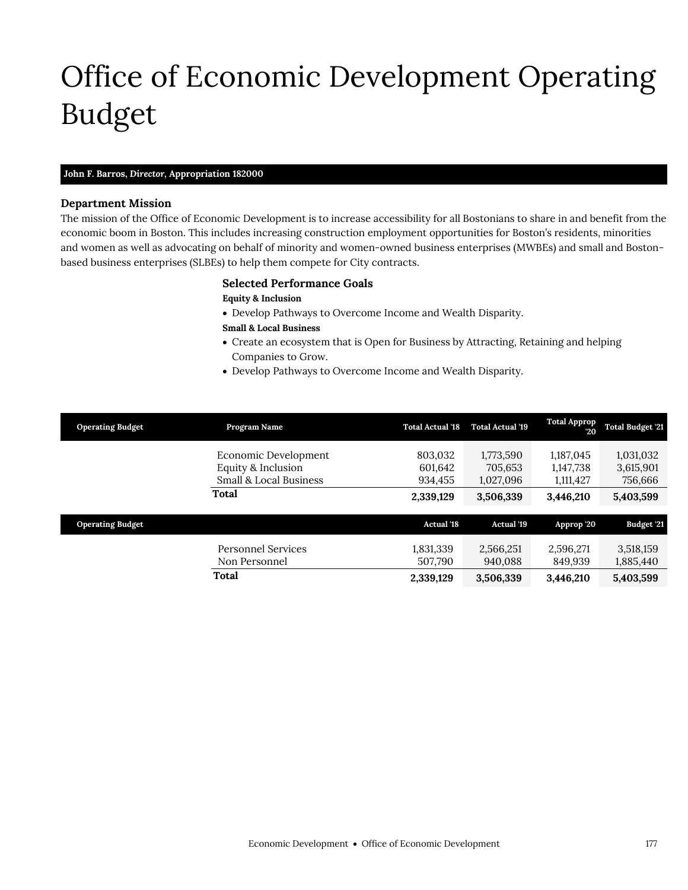# <span id="page-22-0"></span>Office of Economic Development Operating Budget

### **John F. Barros,** *Director,* **Appropriation 182000**

#### **Department Mission**

Office of Economic Development

The mission of the Office of Economic Development is to increase accessibility for all Bostonians to share in and benefit from the economic boom in Boston. This includes increasing construction employment opportunities for Boston's residents, minorities and women as well as advocating on behalf of minority and women-owned business enterprises (MWBEs) and small and Bostonbased business enterprises (SLBEs) to help them compete for City contracts.

#### **Selected Performance Goals**

#### **Equity & Inclusion**

- Develop Pathways to Overcome Income and Wealth Disparity.
- **Small & Local Business**
- Create an ecosystem that is Open for Business by Attracting, Retaining and helping Companies to Grow.
- Develop Pathways to Overcome Income and Wealth Disparity.

| <b>Operating Budget</b> | Program Name                                                         | <b>Total Actual '18</b>       | <b>Total Actual '19</b>           | <b>Total Approp</b><br>$20^{\circ}$ | <b>Total Budget '21</b>           |
|-------------------------|----------------------------------------------------------------------|-------------------------------|-----------------------------------|-------------------------------------|-----------------------------------|
|                         | Economic Development<br>Equity & Inclusion<br>Small & Local Business | 803,032<br>601,642<br>934,455 | 1,773,590<br>705,653<br>1,027,096 | 1,187,045<br>1,147,738<br>1,111,427 | 1,031,032<br>3,615,901<br>756,666 |
|                         | Total                                                                | 2,339,129                     | 3,506,339                         | 3,446,210                           | 5,403,599                         |
| <b>Operating Budget</b> |                                                                      | <b>Actual '18</b>             | <b>Actual</b> '19                 | Approp '20                          | Budget '21                        |
|                         | Personnel Services<br>Non Personnel                                  | 1,831,339<br>507.790          | 2,566,251<br>940.088              | 2,596,271<br>849.939                | 3,518,159<br>1,885,440            |
|                         | <b>Total</b>                                                         | 2,339,129                     | 3,506,339                         | 3,446,210                           | 5,403,599                         |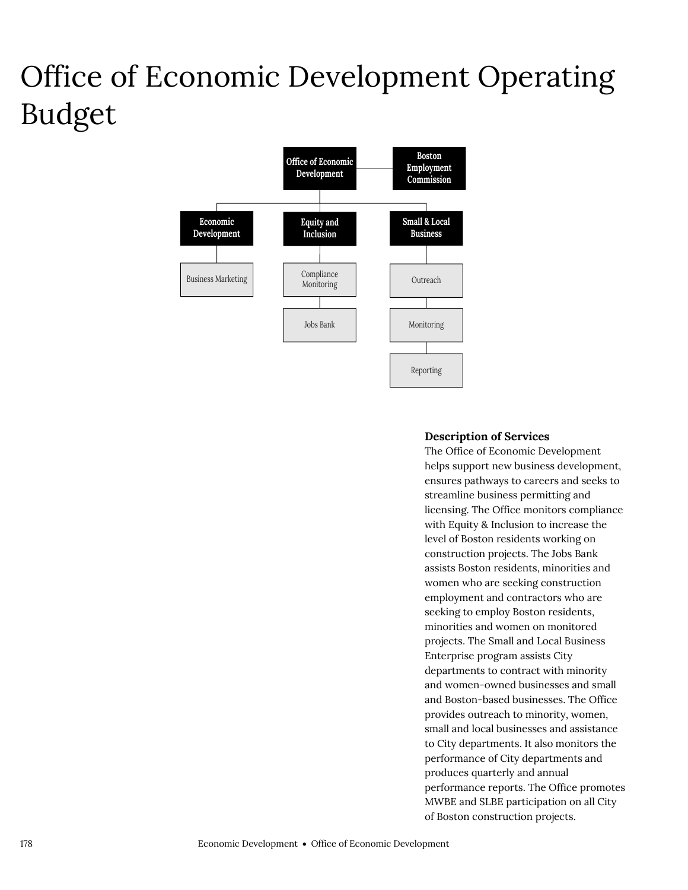# Office of Economic Development Operating Budget



## **Description of Services**

The Office of Economic Development helps support new business development, ensures pathways to careers and seeks to streamline business permitting and licensing. The Office monitors compliance with Equity & Inclusion to increase the level of Boston residents working on construction projects. The Jobs Bank assists Boston residents, minorities and women who are seeking construction employment and contractors who are seeking to employ Boston residents, minorities and women on monitored projects. The Small and Local Business Enterprise program assists City departments to contract with minority and women-owned businesses and small and Boston-based businesses. The Office provides outreach to minority, women, small and local businesses and assistance to City departments. It also monitors the performance of City departments and produces quarterly and annual performance reports. The Office promotes MWBE and SLBE participation on all City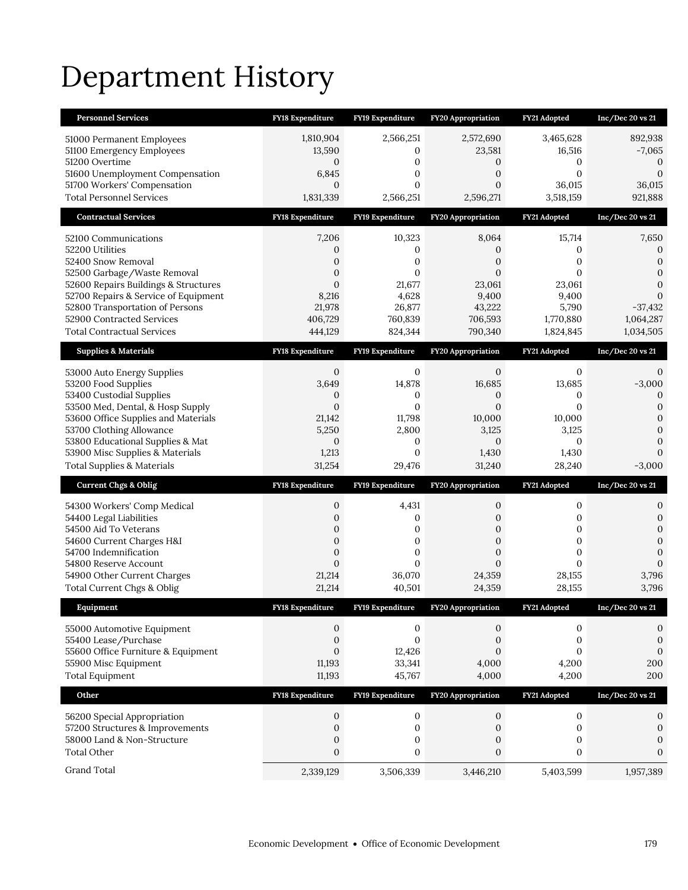# Department History

| <b>Personnel Services</b>                                                | FY18 Expenditure               | FY19 Expenditure             | <b>FY20 Appropriation</b>      | FY21 Adopted                 | Inc/Dec 20 vs 21                     |
|--------------------------------------------------------------------------|--------------------------------|------------------------------|--------------------------------|------------------------------|--------------------------------------|
| 51000 Permanent Employees                                                | 1,810,904                      | 2,566,251                    | 2,572,690                      | 3,465,628                    | 892,938                              |
| 51100 Emergency Employees                                                | 13,590                         | 0                            | 23,581                         | 16,516                       | $-7,065$                             |
| 51200 Overtime<br>51600 Unemployment Compensation                        | 0<br>6,845                     | 0<br>0                       | 0<br>$\mathbf{0}$              | 0<br>$\overline{0}$          | 0<br>$\Omega$                        |
| 51700 Workers' Compensation                                              | $\mathbf{0}$                   | $\mathbf{0}$                 | $\mathbf{0}$                   | 36,015                       | 36,015                               |
| <b>Total Personnel Services</b>                                          | 1,831,339                      | 2,566,251                    | 2,596,271                      | 3,518,159                    | 921,888                              |
| <b>Contractual Services</b>                                              | FY18 Expenditure               | FY19 Expenditure             | FY20 Appropriation             | FY21 Adopted                 | Inc/Dec 20 vs 21                     |
| 52100 Communications                                                     | 7,206                          | 10,323                       | 8,064                          | 15,714                       | 7,650                                |
| 52200 Utilities                                                          | 0                              | 0                            | 0                              | 0                            | 0                                    |
| 52400 Snow Removal<br>52500 Garbage/Waste Removal                        | 0<br>$\boldsymbol{0}$          | 0<br>$\mathbf{0}$            | $\mathbf{0}$<br>$\mathbf{0}$   | 0<br>0                       | $\boldsymbol{0}$<br>$\boldsymbol{0}$ |
| 52600 Repairs Buildings & Structures                                     | $\mathbf{0}$                   | 21,677                       | 23,061                         | 23,061                       | $\overline{0}$                       |
| 52700 Repairs & Service of Equipment                                     | 8,216                          | 4,628                        | 9,400                          | 9,400                        | $\Omega$                             |
| 52800 Transportation of Persons                                          | 21,978                         | 26,877                       | 43,222                         | 5,790                        | $-37,432$                            |
| 52900 Contracted Services<br><b>Total Contractual Services</b>           | 406,729<br>444,129             | 760,839<br>824,344           | 706,593<br>790,340             | 1,770,880<br>1,824,845       | 1,064,287<br>1,034,505               |
| <b>Supplies &amp; Materials</b>                                          |                                |                              |                                |                              |                                      |
|                                                                          | <b>FY18 Expenditure</b>        | FY19 Expenditure             | <b>FY20 Appropriation</b>      | FY21 Adopted                 | Inc/Dec 20 vs 21                     |
| 53000 Auto Energy Supplies                                               | 0<br>3,649                     | 0                            | $\mathbf{0}$                   | 0                            | 0                                    |
| 53200 Food Supplies<br>53400 Custodial Supplies                          | 0                              | 14,878<br>0                  | 16,685<br>0                    | 13,685<br>0                  | $-3,000$<br>$\theta$                 |
| 53500 Med, Dental, & Hosp Supply                                         | $\mathbf{0}$                   | $\mathbf{0}$                 | $\overline{0}$                 | $\overline{0}$               | 0                                    |
| 53600 Office Supplies and Materials                                      | 21,142                         | 11,798                       | 10,000                         | 10,000                       | 0                                    |
| 53700 Clothing Allowance<br>53800 Educational Supplies & Mat             | 5,250<br>$\mathbf{0}$          | 2,800<br>0                   | 3,125<br>$\mathbf{0}$          | 3,125<br>$\mathbf{0}$        | 0<br>0                               |
|                                                                          |                                |                              |                                |                              |                                      |
|                                                                          |                                | $\mathbf{0}$                 | 1,430                          | 1,430                        | $\Omega$                             |
| 53900 Misc Supplies & Materials<br><b>Total Supplies &amp; Materials</b> | 1,213<br>31,254                | 29,476                       | 31,240                         | 28,240                       | $-3,000$                             |
| <b>Current Chgs &amp; Oblig</b>                                          | <b>FY18 Expenditure</b>        | FY19 Expenditure             | <b>FY20 Appropriation</b>      | FY21 Adopted                 | Inc/Dec 20 vs 21                     |
| 54300 Workers' Comp Medical                                              | 0                              | 4,431                        | 0                              | 0                            | 0                                    |
| 54400 Legal Liabilities                                                  | $\mathbf{0}$                   | 0                            | 0                              | 0                            | 0                                    |
| 54500 Aid To Veterans                                                    | $\mathbf{0}$                   | 0                            | 0                              | $\boldsymbol{0}$             | $\boldsymbol{0}$                     |
| 54600 Current Charges H&I                                                | $\mathbf{0}$                   | $\boldsymbol{0}$             | $\overline{0}$                 | $\boldsymbol{0}$             | $\overline{0}$                       |
| 54700 Indemnification<br>54800 Reserve Account                           | $\mathbf{0}$<br>$\overline{0}$ | $\boldsymbol{0}$<br>$\Omega$ | $\mathbf{0}$<br>$\overline{0}$ | $\boldsymbol{0}$<br>$\Omega$ | $\overline{0}$<br>$\mathbf{0}$       |
| 54900 Other Current Charges                                              | 21,214                         | 36,070                       | 24,359                         | 28,155                       | 3,796                                |
| Total Current Chgs & Oblig                                               | 21,214                         | 40,501                       | 24,359                         | 28,155                       | 3,796                                |
| Equipment                                                                | <b>FY18 Expenditure</b>        | FY19 Expenditure             | <b>FY20 Appropriation</b>      | FY21 Adopted                 | Inc/Dec 20 vs 21                     |
| 55000 Automotive Equipment                                               | 0                              | 0                            | 0                              | 0                            | 0                                    |
| 55400 Lease/Purchase                                                     | $\boldsymbol{0}$               | $\boldsymbol{0}$             | 0                              | $\boldsymbol{0}$             | $\boldsymbol{0}$                     |
| 55600 Office Furniture & Equipment                                       | $\overline{0}$                 | 12,426                       | $\overline{0}$                 | $\overline{0}$               | $\boldsymbol{0}$                     |
| 55900 Misc Equipment<br><b>Total Equipment</b>                           | 11,193<br>11,193               | 33,341<br>45,767             | 4,000<br>4,000                 | 4,200<br>4,200               | 200<br>200                           |
| Other                                                                    | FY18 Expenditure               | FY19 Expenditure             | FY20 Appropriation             | FY21 Adopted                 | Inc/Dec 20 vs 21                     |
|                                                                          |                                |                              |                                |                              |                                      |
| 56200 Special Appropriation                                              | 0<br>$\boldsymbol{0}$          | 0<br>$\boldsymbol{0}$        | 0<br>0                         | $\boldsymbol{0}$<br>0        | 0<br>$\boldsymbol{0}$                |
| 57200 Structures & Improvements<br>58000 Land & Non-Structure            | $\boldsymbol{0}$               | $\boldsymbol{0}$             | $\mathbf{0}$                   | $\boldsymbol{0}$             | $\boldsymbol{0}$                     |
| <b>Total Other</b>                                                       | $\boldsymbol{0}$               | $\boldsymbol{0}$             | $\boldsymbol{0}$               | $\boldsymbol{0}$             | $\mathbf{0}$                         |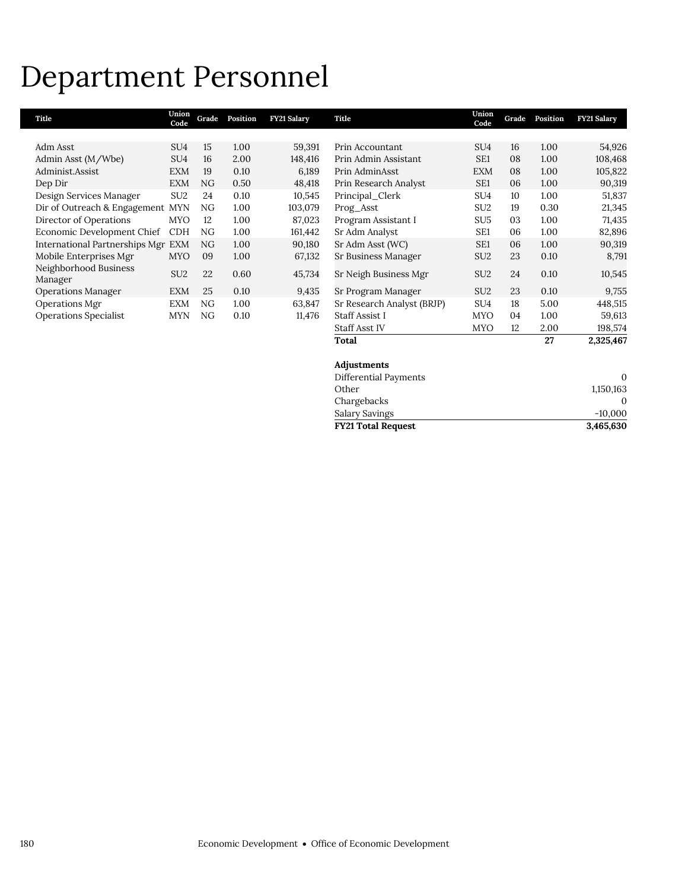## Department Personnel

| Title                              | Union<br>Code   | Grade | Position | <b>FY21 Salary</b> | Title                      | Union<br>Code   | Grade | Position | <b>FY21 Salary</b> |
|------------------------------------|-----------------|-------|----------|--------------------|----------------------------|-----------------|-------|----------|--------------------|
|                                    |                 |       |          |                    |                            |                 |       |          |                    |
| Adm Asst                           | SU <sub>4</sub> | 15    | 1.00     | 59,391             | Prin Accountant            | SU <sub>4</sub> | 16    | 1.00     | 54,926             |
| Admin Asst (M/Wbe)                 | SU <sub>4</sub> | 16    | 2.00     | 148,416            | Prin Admin Assistant       | SE <sub>1</sub> | 08    | 1.00     | 108,468            |
| Administ.Assist                    | <b>EXM</b>      | 19    | 0.10     | 6,189              | Prin AdminAsst             | <b>EXM</b>      | 08    | 1.00     | 105,822            |
| Dep Dir                            | <b>EXM</b>      | NG    | 0.50     | 48,418             | Prin Research Analyst      | SE1             | 06    | 1.00     | 90,319             |
| Design Services Manager            | SU <sub>2</sub> | 24    | 0.10     | 10,545             | Principal_Clerk            | SU <sub>4</sub> | 10    | 1.00     | 51,837             |
| Dir of Outreach & Engagement MYN   |                 | NG    | 1.00     | 103,079            | Prog_Asst                  | SU <sub>2</sub> | 19    | 0.30     | 21,345             |
| Director of Operations             | <b>MYO</b>      | 12    | 1.00     | 87,023             | Program Assistant I        | SU <sub>5</sub> | 03    | 1.00     | 71,435             |
| Economic Development Chief         | <b>CDH</b>      | NG    | 1.00     | 161,442            | Sr Adm Analyst             | SE <sub>1</sub> | 06    | 1.00     | 82,896             |
| International Partnerships Mgr EXM |                 | NG    | 1.00     | 90,180             | Sr Adm Asst (WC)           | SE <sub>1</sub> | 06    | 1.00     | 90,319             |
| Mobile Enterprises Mgr             | <b>MYO</b>      | 09    | 1.00     | 67,132             | Sr Business Manager        | SU <sub>2</sub> | 23    | 0.10     | 8,791              |
| Neighborhood Business<br>Manager   | SU <sub>2</sub> | 22    | 0.60     | 45,734             | Sr Neigh Business Mgr      | SU <sub>2</sub> | 24    | 0.10     | 10,545             |
| <b>Operations Manager</b>          | <b>EXM</b>      | 25    | 0.10     | 9,435              | Sr Program Manager         | SU <sub>2</sub> | 23    | 0.10     | 9,755              |
| Operations Mgr                     | <b>EXM</b>      | NG    | 1.00     | 63,847             | Sr Research Analyst (BRJP) | SU <sub>4</sub> | 18    | 5.00     | 448,515            |
| <b>Operations Specialist</b>       | <b>MYN</b>      | NG    | 0.10     | 11,476             | <b>Staff Assist I</b>      | <b>MYO</b>      | 04    | 1.00     | 59,613             |
|                                    |                 |       |          |                    | <b>Staff Asst IV</b>       | <b>MYO</b>      | 12    | 2.00     | 198,574            |
|                                    |                 |       |          |                    | Total                      |                 |       | 27       | 2,325,467          |

| $-10,000$ |
|-----------|
| 0         |
| 1,150,163 |
| $\Omega$  |
|           |
|           |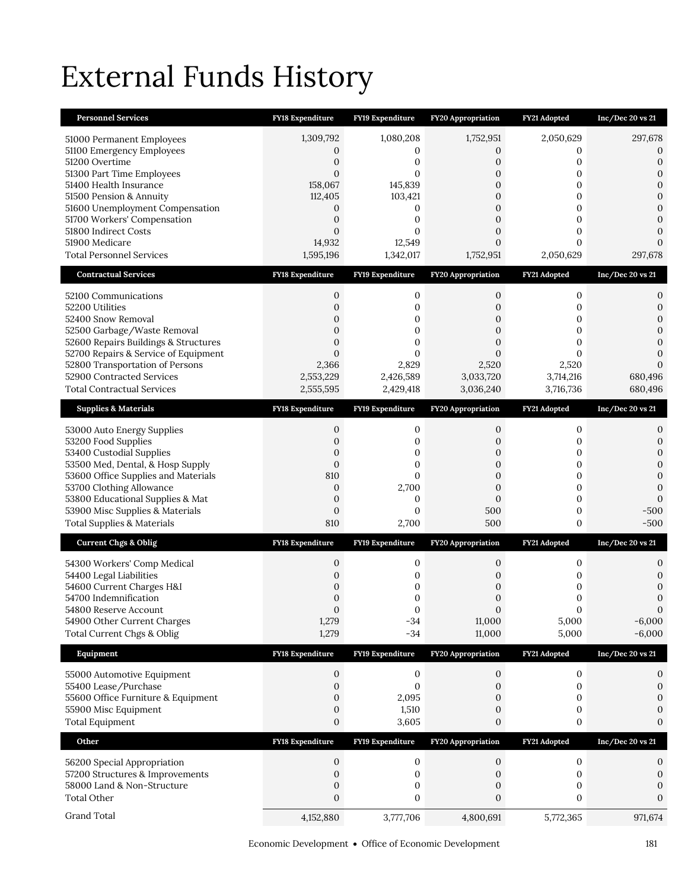# External Funds History

| <b>Personnel Services</b>                                               | FY18 Expenditure              | FY19 Expenditure   | FY20 Appropriation                 | FY21 Adopted          | Inc/Dec 20 vs 21             |
|-------------------------------------------------------------------------|-------------------------------|--------------------|------------------------------------|-----------------------|------------------------------|
| 51000 Permanent Employees                                               | 1,309,792                     | 1,080,208          | 1,752,951                          | 2,050,629             | 297,678                      |
| 51100 Emergency Employees                                               | 0                             | 0                  | 0                                  | 0                     | 0                            |
| 51200 Overtime                                                          | $\overline{0}$                | 0                  | 0                                  | 0                     | $\mathbf{0}$                 |
| 51300 Part Time Employees<br>51400 Health Insurance                     | $\overline{0}$<br>158,067     | 0<br>145,839       | 0<br>$\overline{0}$                | 0<br>$\mathbf{0}$     | $\mathbf{0}$<br>$\mathbf{0}$ |
| 51500 Pension & Annuity                                                 | 112,405                       | 103,421            | 0                                  | 0                     | $\mathbf{0}$                 |
| 51600 Unemployment Compensation                                         | 0                             | 0                  | $\overline{0}$                     | 0                     | $\mathbf{0}$                 |
| 51700 Workers' Compensation                                             | $\overline{0}$                | 0                  | $\overline{0}$                     | 0                     | $\mathbf{0}$                 |
| 51800 Indirect Costs<br>51900 Medicare                                  | $\Omega$<br>14,932            | $\Omega$<br>12,549 | 0<br>$\overline{0}$                | 0<br>$\Omega$         | $\Omega$<br>$\Omega$         |
| <b>Total Personnel Services</b>                                         | 1,595,196                     | 1,342,017          | 1,752,951                          | 2,050,629             | 297,678                      |
|                                                                         |                               |                    |                                    |                       |                              |
| <b>Contractual Services</b>                                             | <b>FY18 Expenditure</b>       | FY19 Expenditure   | <b>FY20 Appropriation</b>          | FY21 Adopted          | $Inc/Dec$ 20 vs 21           |
| 52100 Communications                                                    | 0                             | 0                  | 0                                  | $\mathbf{0}$          | 0                            |
| 52200 Utilities                                                         | $\overline{0}$                | 0                  | 0                                  | 0                     | 0                            |
| 52400 Snow Removal<br>52500 Garbage/Waste Removal                       | $\mathbf 0$<br>$\overline{0}$ | 0<br>0             | 0<br>$\overline{0}$                | 0<br>0                | $\mathbf{0}$<br>$\Omega$     |
| 52600 Repairs Buildings & Structures                                    | $\overline{0}$                | 0                  | $\overline{0}$                     | 0                     | $\mathbf{0}$                 |
| 52700 Repairs & Service of Equipment                                    | $\overline{0}$                | $\Omega$           | $\mathbf{0}$                       | $\Omega$              | $\Omega$                     |
| 52800 Transportation of Persons                                         | 2,366                         | 2,829              | 2,520                              | 2,520                 | $\Omega$                     |
| 52900 Contracted Services                                               | 2,553,229                     | 2,426,589          | 3,033,720                          | 3,714,216             | 680,496                      |
| <b>Total Contractual Services</b>                                       | 2,555,595                     | 2,429,418          | 3,036,240                          | 3,716,736             | 680,496                      |
| <b>Supplies &amp; Materials</b>                                         | <b>FY18 Expenditure</b>       | FY19 Expenditure   | FY20 Appropriation                 | FY21 Adopted          | Inc/Dec 20 vs 21             |
| 53000 Auto Energy Supplies                                              | 0                             | 0                  | 0                                  | $\mathbf{0}$          | 0                            |
| 53200 Food Supplies                                                     | $\overline{0}$                | 0                  | 0                                  | 0                     | $\mathbf{0}$                 |
| 53400 Custodial Supplies                                                | 0                             | 0                  | 0                                  | 0                     | $\mathbf{0}$                 |
| 53500 Med, Dental, & Hosp Supply<br>53600 Office Supplies and Materials | $\mathbf{0}$<br>810           | $\mathbf{0}$<br>0  | $\boldsymbol{0}$<br>$\overline{0}$ | 0<br>0                | $\mathbf{0}$<br>$\mathbf{0}$ |
|                                                                         |                               |                    |                                    |                       |                              |
|                                                                         | $\mathbf{0}$                  |                    | $\boldsymbol{0}$                   | 0                     | $\mathbf{0}$                 |
| 53700 Clothing Allowance<br>53800 Educational Supplies & Mat            | $\mathbf{0}$                  | 2,700<br>0         | $\overline{0}$                     | 0                     | $\Omega$                     |
| 53900 Misc Supplies & Materials                                         | $\overline{0}$                | $\overline{0}$     | 500                                | 0                     | -500                         |
| <b>Total Supplies &amp; Materials</b>                                   | 810                           | 2,700              | 500                                | 0                     | $-500$                       |
| <b>Current Chgs &amp; Oblig</b>                                         | FY18 Expenditure              | FY19 Expenditure   | FY20 Appropriation                 | FY21 Adopted          | Inc/Dec 20 vs 21             |
|                                                                         |                               | 0                  |                                    |                       | 0                            |
| 54300 Workers' Comp Medical<br>54400 Legal Liabilities                  | 0<br>0                        | 0                  | 0<br>0                             | 0<br>0                | $\mathbf{0}$                 |
| 54600 Current Charges H&I                                               | $\mathbf 0$                   | 0                  | 0                                  | 0                     | $\mathbf{0}$                 |
| 54700 Indemnification                                                   | 0                             | 0                  | 0                                  | 0                     | $\boldsymbol{0}$             |
| 54800 Reserve Account                                                   | $\Omega$                      | $\Omega$           | $\Omega$                           | $\Omega$              | $\Omega$                     |
| 54900 Other Current Charges<br>Total Current Chgs & Oblig               | 1,279<br>1,279                | $-34$<br>$-34$     | 11,000<br>11,000                   | 5,000<br>5,000        | $-6,000$<br>$-6,000$         |
|                                                                         | <b>FY18 Expenditure</b>       | FY19 Expenditure   |                                    |                       | Inc/Dec 20 vs 21             |
| Equipment                                                               |                               |                    | FY20 Appropriation                 | FY21 Adopted          |                              |
| 55000 Automotive Equipment                                              | $\boldsymbol{0}$              | $\boldsymbol{0}$   | $\boldsymbol{0}$                   | $\boldsymbol{0}$      | 0                            |
| 55400 Lease/Purchase                                                    | $\boldsymbol{0}$<br>0         | 0                  | $\mathbf{0}$<br>0                  | $\mathbf{0}$<br>0     | 0<br>$\mathbf{0}$            |
| 55600 Office Furniture & Equipment<br>55900 Misc Equipment              | $\boldsymbol{0}$              | 2,095<br>1,510     | 0                                  | 0                     | $\mathbf{0}$                 |
| <b>Total Equipment</b>                                                  | $\boldsymbol{0}$              | 3,605              | 0                                  | 0                     | $\boldsymbol{0}$             |
| Other                                                                   | <b>FY18 Expenditure</b>       | FY19 Expenditure   | <b>FY20 Appropriation</b>          | FY21 Adopted          | Inc/Dec 20 vs 21             |
|                                                                         |                               |                    |                                    |                       |                              |
| 56200 Special Appropriation                                             | 0                             | 0<br>0             | 0                                  | $\boldsymbol{0}$      | 0                            |
| 57200 Structures & Improvements<br>58000 Land & Non-Structure           | 0<br>0                        | 0                  | 0<br>0                             | $\boldsymbol{0}$<br>0 | 0<br>0                       |
| <b>Total Other</b>                                                      | $\mathbf{0}$                  | 0                  | $\mathbf{0}$                       | 0                     | $\mathbf{0}$                 |
| Grand Total                                                             | 4,152,880                     | 3,777,706          | 4,800,691                          | 5,772,365             | 971,674                      |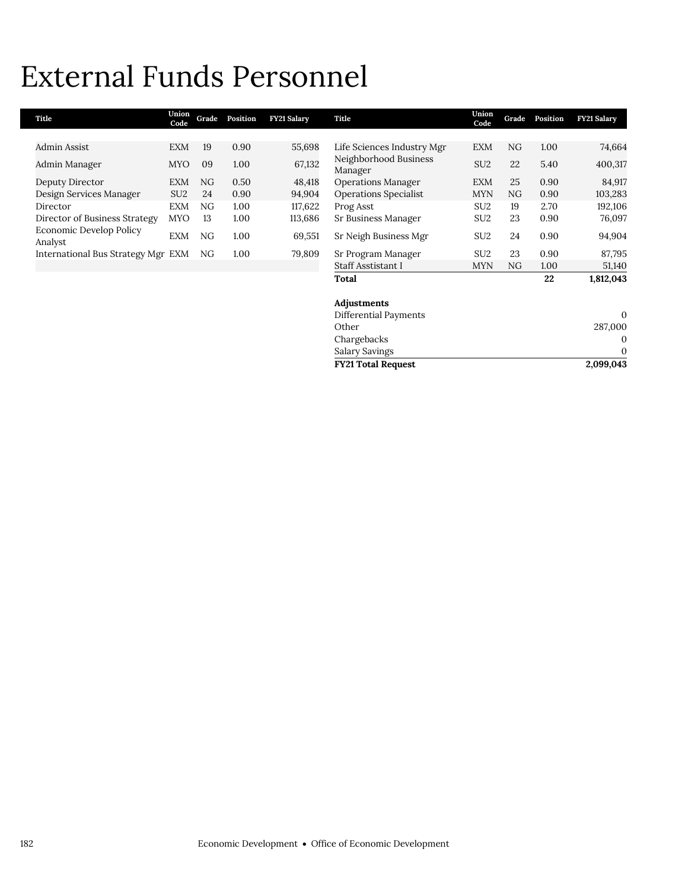# External Funds Personnel

| Title                                     | Union<br>Code   | Grade | Position | <b>FY21 Salary</b> | Title                            | Union<br>Code   | Grade | Position | <b>FY21 Salary</b> |
|-------------------------------------------|-----------------|-------|----------|--------------------|----------------------------------|-----------------|-------|----------|--------------------|
|                                           |                 |       |          |                    |                                  |                 |       |          |                    |
| Admin Assist                              | <b>EXM</b>      | 19    | 0.90     | 55,698             | Life Sciences Industry Mgr       | EXM             | NG    | 1.00     | 74,664             |
| Admin Manager                             | <b>MYO</b>      | 09    | 1.00     | 67,132             | Neighborhood Business<br>Manager | SU <sub>2</sub> | 22    | 5.40     | 400,317            |
| Deputy Director                           | <b>EXM</b>      | NG    | 0.50     | 48,418             | <b>Operations Manager</b>        | <b>EXM</b>      | 25    | 0.90     | 84,917             |
| Design Services Manager                   | SU <sub>2</sub> | 24    | 0.90     | 94,904             | <b>Operations Specialist</b>     | <b>MYN</b>      | NG    | 0.90     | 103,283            |
| Director                                  | <b>EXM</b>      | NG.   | 1.00     | 117,622            | Prog Asst                        | SU <sub>2</sub> | 19    | 2.70     | 192,106            |
| Director of Business Strategy             | <b>MYO</b>      | 13    | 1.00     | 113,686            | Sr Business Manager              | SU <sub>2</sub> | 23    | 0.90     | 76,097             |
| <b>Economic Develop Policy</b><br>Analyst | EXM             | NG.   | 1.00     | 69,551             | Sr Neigh Business Mgr            | SU <sub>2</sub> | 24    | 0.90     | 94,904             |
| International Bus Strategy Mgr EXM        |                 | NG    | 1.00     | 79,809             | Sr Program Manager               | SU <sub>2</sub> | 23    | 0.90     | 87,795             |
|                                           |                 |       |          |                    | Staff Asstistant I               | <b>MYN</b>      | NG.   | 1.00     | 51,140             |
|                                           |                 |       |          |                    | Total                            |                 |       | 22       | 1,812,043          |
|                                           |                 |       |          |                    | Adjustments                      |                 |       |          |                    |
|                                           |                 |       |          |                    | Differential Payments            |                 |       |          | $\mathbf{0}$       |
|                                           |                 |       |          |                    | Other                            |                 |       |          | 287,000            |

**FY21 Total Request** 

Chargebacks 0 Salary Savings 0<br>
FY21 Total Request 2,099,043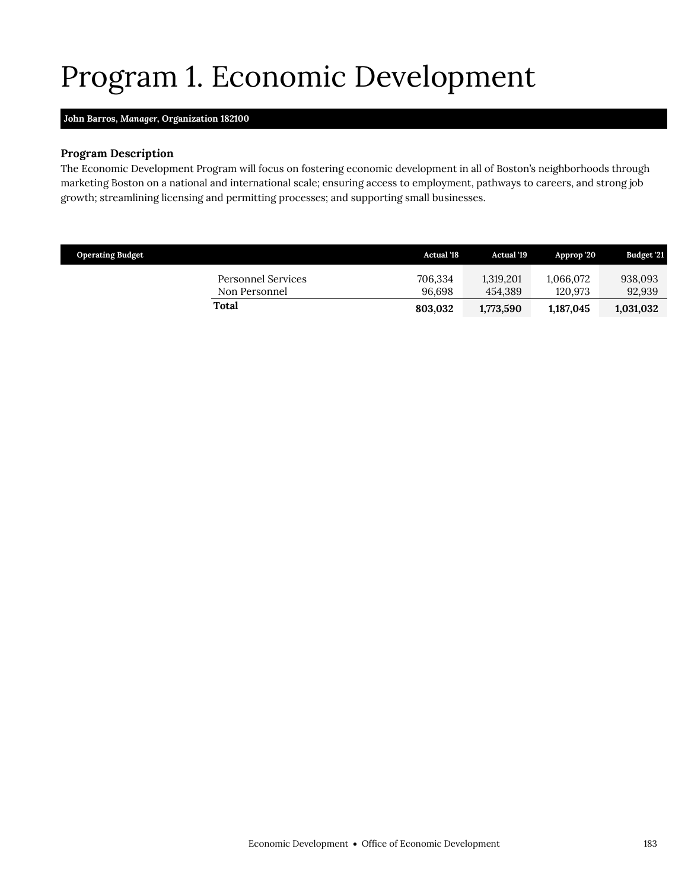## Program 1. Economic Development

### <span id="page-28-0"></span>**John Barros,** *Manager,* **Organization 182100**

### **Program Description**

The Economic Development Program will focus on fostering economic development in all of Boston's neighborhoods through marketing Boston on a national and international scale; ensuring access to employment, pathways to careers, and strong job growth; streamlining licensing and permitting processes; and supporting small businesses.

| <b>Operating Budget</b>             | <b>Actual</b> '18 | Actual '19           | Approp '20           | Budget '21        |
|-------------------------------------|-------------------|----------------------|----------------------|-------------------|
| Personnel Services<br>Non Personnel | 706,334<br>96.698 | 1,319,201<br>454.389 | 1.066.072<br>120.973 | 938,093<br>92,939 |
| Total                               | 803.032           | 1,773,590            | 1,187,045            | 1,031,032         |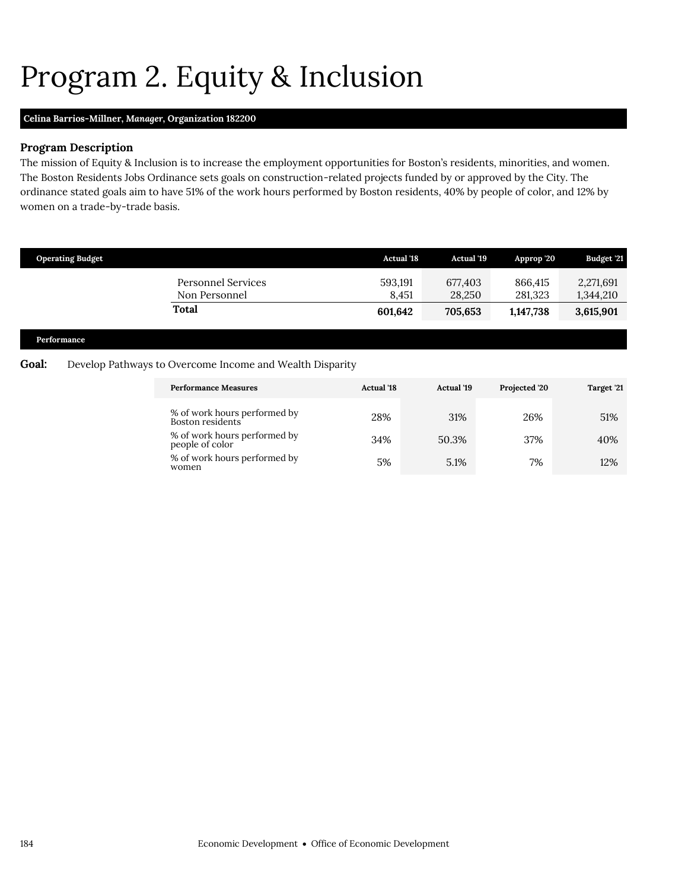# <span id="page-29-0"></span>Program 2. Equity & Inclusion

## **Celina Barrios-Millner,** *Manager,* **Organization 182200**

### **Program Description**

The mission of Equity & Inclusion is to increase the employment opportunities for Boston's residents, minorities, and women. The Boston Residents Jobs Ordinance sets goals on construction-related projects funded by or approved by the City. The ordinance stated goals aim to have 51% of the work hours performed by Boston residents, 40% by people of color, and 12% by women on a trade-by-trade basis.

|       | <b>Operating Budget</b> |                                                          | <b>Actual '18</b>           | Actual '19                   | Approp '20                      | Budget '21                          |
|-------|-------------------------|----------------------------------------------------------|-----------------------------|------------------------------|---------------------------------|-------------------------------------|
|       | Performance             | Personnel Services<br>Non Personnel<br>Total             | 593,191<br>8,451<br>601,642 | 677,403<br>28,250<br>705,653 | 866,415<br>281,323<br>1,147,738 | 2,271,691<br>1,344,210<br>3,615,901 |
| Goal: |                         | Develop Pathways to Overcome Income and Wealth Disparity |                             |                              |                                 |                                     |
|       |                         | <b>Performance Measures</b>                              | <b>Actual</b> '18           | Actual '19                   | Projected '20                   | Target '21                          |

| % of work hours performed by<br>Boston residents <sup>-</sup> | 28% | 31%   | 26% | 51% |
|---------------------------------------------------------------|-----|-------|-----|-----|
| % of work hours performed by<br>people of color               | 34% | 50.3% | 37% | 40% |
| % of work hours performed by<br>women                         | 5%  | 5.1%  | 7%  | 12% |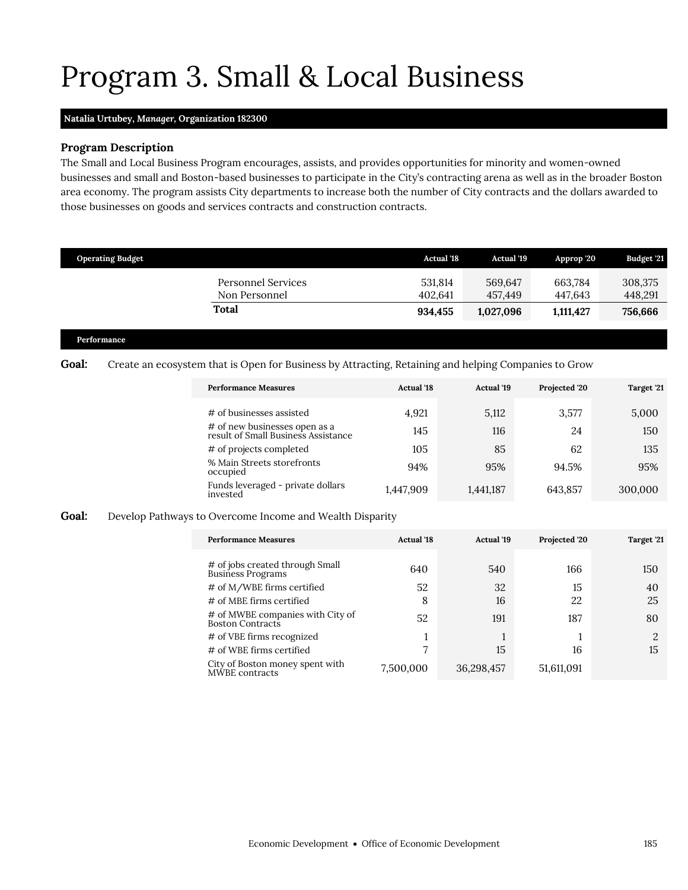## Program 3. Small & Local Business

### **Natalia Urtubey,** *Manager,* **Organization 182300**

### **Program Description**

The Small and Local Business Program encourages, assists, and provides opportunities for minority and women-owned businesses and small and Boston-based businesses to participate in the City's contracting arena as well as in the broader Boston area economy. The program assists City departments to increase both the number of City contracts and the dollars awarded to those businesses on goods and services contracts and construction contracts.

| <b>Operating Budget</b>                    | <b>Actual '18</b>  | <b>Actual '19</b>  | Approp '20         | <b>Budget '21</b>  |
|--------------------------------------------|--------------------|--------------------|--------------------|--------------------|
| <b>Personnel Services</b><br>Non Personnel | 531.814<br>402.641 | 569.647<br>457.449 | 663.784<br>447.643 | 308,375<br>448,291 |
| Total                                      | 934.455            | 1,027,096          | 1,111,427          | 756,666            |

#### **Performance**

### Goal: Create an ecosystem that is Open for Business by Attracting, Retaining and helping Companies to Grow

<span id="page-30-0"></span>

| <b>Performance Measures</b>                                          | <b>Actual</b> '18 | <b>Actual</b> '19 | Projected '20 | Target '21 |
|----------------------------------------------------------------------|-------------------|-------------------|---------------|------------|
| # of businesses assisted                                             | 4.921             | 5,112             | 3,577         | 5,000      |
| # of new businesses open as a<br>result of Small Business Assistance | 145               | 116               | 24            | 150        |
| # of projects completed                                              | 10 <sub>5</sub>   | 85                | 62            | 135        |
| % Main Streets storefronts<br>occupied                               | 94%               | 95%               | 94.5%         | 95%        |
| Funds leveraged - private dollars<br>invested                        | 1,447,909         | 1,441,187         | 643,857       | 300,000    |

#### **Goal:** Develop Pathways to Overcome Income and Wealth Disparity

| <b>Performance Measures</b>                          | <b>Actual</b> '18 | <b>Actual</b> '19 | Projected '20 | Target '21 |
|------------------------------------------------------|-------------------|-------------------|---------------|------------|
|                                                      |                   |                   |               |            |
| # of jobs created through Small<br>Business Programs | 640               | 540               | 166           | 150        |
| # of M/WBE firms certified                           | 52                | 32                | 15            | 40         |
| # of MBE firms certified                             | 8                 | 16                | 22            | 25         |
| # of MWBE companies with City of<br>Boston Contracts | 52                | 191               | 187           | 80         |
| # of VBE firms recognized                            |                   | 1                 |               | റ          |
| # of WBE firms certified                             |                   | 15                | 16            | 15         |
| City of Boston money spent with<br>MWBE contracts    | 7,500,000         | 36,298,457        | 51,611,091    |            |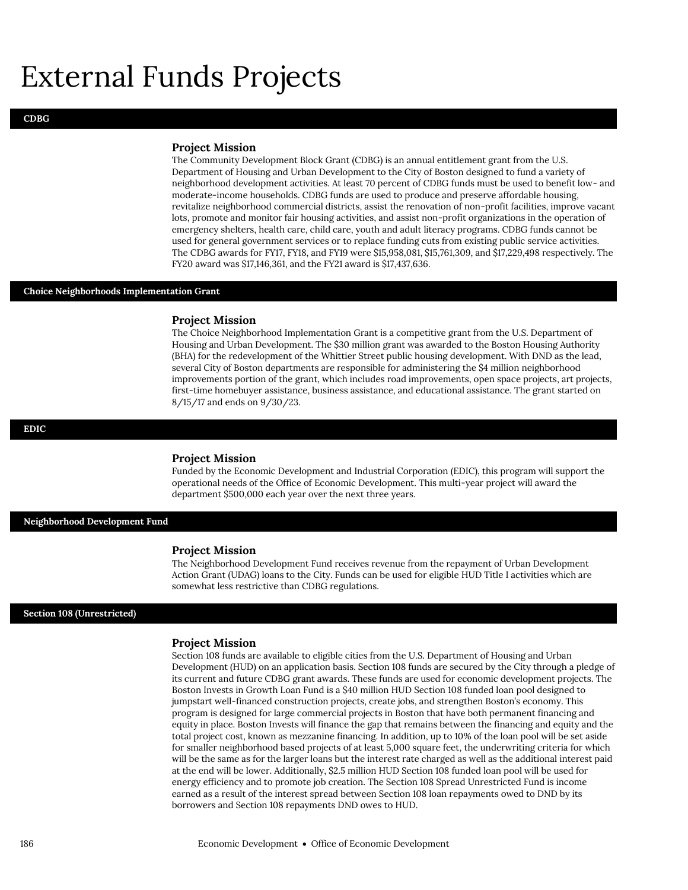## External Funds Projects

#### **Project Mission**

The Community Development Block Grant (CDBG) is an annual entitlement grant from the U.S. Department of Housing and Urban Development to the City of Boston designed to fund a variety of neighborhood development activities. At least 70 percent of CDBG funds must be used to benefit low- and moderate-income households. CDBG funds are used to produce and preserve affordable housing, revitalize neighborhood commercial districts, assist the renovation of non-profit facilities, improve vacant lots, promote and monitor fair housing activities, and assist non-profit organizations in the operation of emergency shelters, health care, child care, youth and adult literacy programs. CDBG funds cannot be used for general government services or to replace funding cuts from existing public service activities. The CDBG awards for FY17, FY18, and FY19 were \$15,958,081, \$15,761,309, and \$17,229,498 respectively. The FY20 award was \$17,146,361, and the FY21 award is \$17,437,636.

#### **Choice Neighborhoods Implementation Grant**

#### **Project Mission**

The Choice Neighborhood Implementation Grant is a competitive grant from the U.S. Department of Housing and Urban Development. The \$30 million grant was awarded to the Boston Housing Authority (BHA) for the redevelopment of the Whittier Street public housing development. With DND as the lead, several City of Boston departments are responsible for administering the \$4 million neighborhood improvements portion of the grant, which includes road improvements, open space projects, art projects, first-time homebuyer assistance, business assistance, and educational assistance. The grant started on 8/15/17 and ends on 9/30/23.

#### **EDIC**

#### **Project Mission**

Funded by the Economic Development and Industrial Corporation (EDIC), this program will support the operational needs of the Office of Economic Development. This multi-year project will award the department \$500,000 each year over the next three years.

**Neighborhood Development Fund**

#### **Project Mission**

The Neighborhood Development Fund receives revenue from the repayment of Urban Development Action Grant (UDAG) loans to the City. Funds can be used for eligible HUD Title I activities which are somewhat less restrictive than CDBG regulations.

#### **Section 108 (Unrestricted)**

#### **Project Mission**

Section 108 funds are available to eligible cities from the U.S. Department of Housing and Urban Development (HUD) on an application basis. Section 108 funds are secured by the City through a pledge of its current and future CDBG grant awards. These funds are used for economic development projects. The Boston Invests in Growth Loan Fund is a \$40 million HUD Section 108 funded loan pool designed to jumpstart well-financed construction projects, create jobs, and strengthen Boston's economy. This program is designed for large commercial projects in Boston that have both permanent financing and equity in place. Boston Invests will finance the gap that remains between the financing and equity and the total project cost, known as mezzanine financing. In addition, up to 10% of the loan pool will be set aside for smaller neighborhood based projects of at least 5,000 square feet, the underwriting criteria for which will be the same as for the larger loans but the interest rate charged as well as the additional interest paid at the end will be lower. Additionally, \$2.5 million HUD Section 108 funded loan pool will be used for energy efficiency and to promote job creation. The Section 108 Spread Unrestricted Fund is income earned as a result of the interest spread between Section 108 loan repayments owed to DND by its borrowers and Section 108 repayments DND owes to HUD.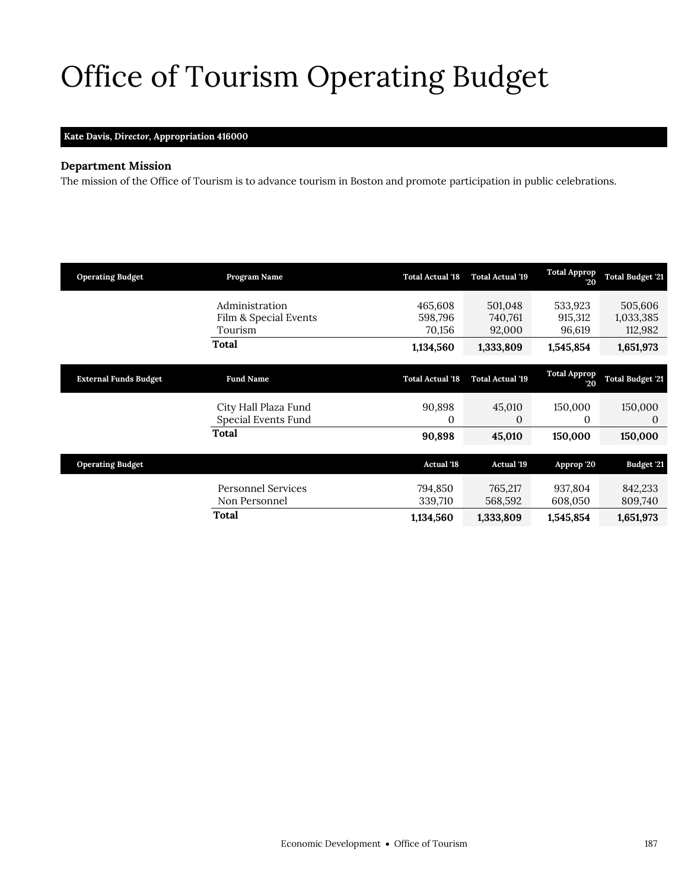# <span id="page-32-0"></span>Office of Tourism Operating Budget

## **Kate Davis,** *Director,* **Appropriation 416000**

## **Department Mission**

The mission of the Office of Tourism is to advance tourism in Boston and promote participation in public celebrations.

| <b>Operating Budget</b>      | Program Name                                       | <b>Total Actual '18</b>      | <b>Total Actual '19</b>      | <b>Total Approp</b><br>20    | <b>Total Budget '21</b>         |
|------------------------------|----------------------------------------------------|------------------------------|------------------------------|------------------------------|---------------------------------|
|                              | Administration<br>Film & Special Events<br>Tourism | 465,608<br>598,796<br>70,156 | 501,048<br>740,761<br>92,000 | 533,923<br>915,312<br>96,619 | 505,606<br>1,033,385<br>112,982 |
|                              | Total                                              | 1,134,560                    | 1,333,809                    | 1,545,854                    | 1,651,973                       |
| <b>External Funds Budget</b> | <b>Fund Name</b>                                   | <b>Total Actual '18</b>      | <b>Total Actual '19</b>      | <b>Total Approp</b><br>20    | <b>Total Budget '21</b>         |
|                              | City Hall Plaza Fund<br>Special Events Fund        | 90,898<br>0                  | 45,010<br>$\Omega$           | 150,000<br>$\Omega$          | 150,000<br>0                    |
|                              | <b>Total</b>                                       | 90,898                       | 45,010                       | 150,000                      | 150,000                         |
| <b>Operating Budget</b>      |                                                    | <b>Actual '18</b>            | <b>Actual '19</b>            | Approp '20                   | Budget '21                      |
|                              | <b>Personnel Services</b><br>Non Personnel         | 794,850<br>339,710           | 765,217<br>568,592           | 937,804<br>608,050           | 842,233<br>809,740              |
|                              | Total                                              | 1,134,560                    | 1,333,809                    | 1,545,854                    | 1,651,973                       |
|                              |                                                    |                              |                              |                              |                                 |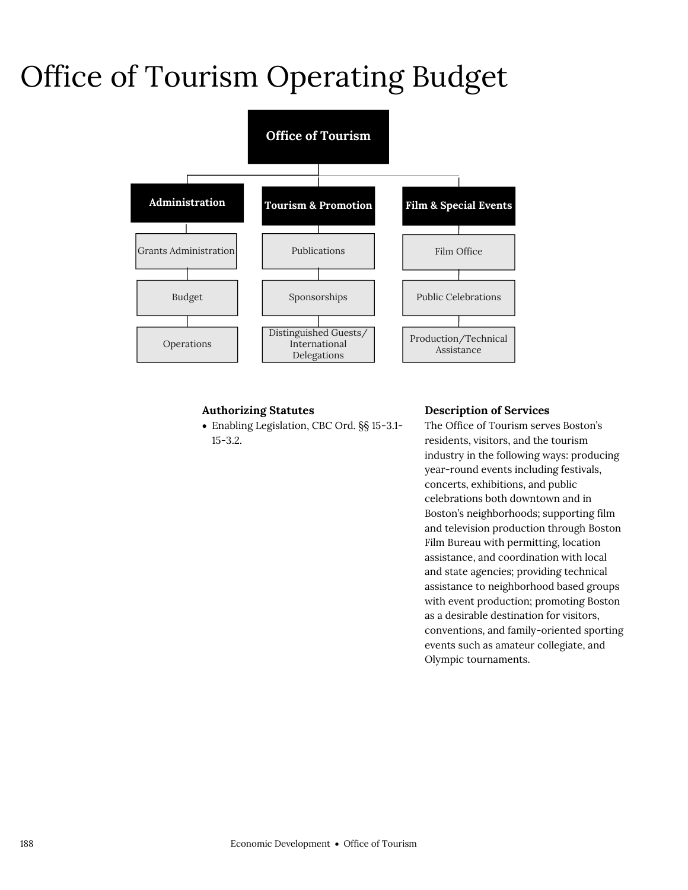# Office of Tourism Operating Budget



## **Authorizing Statutes**

 Enabling Legislation, CBC Ord. §§ 15-3.1- 15-3.2.

## **Description of Services**

The Office of Tourism serves Boston's residents, visitors, and the tourism industry in the following ways: producing year-round events including festivals, concerts, exhibitions, and public celebrations both downtown and in Boston's neighborhoods; supporting film and television production through Boston Film Bureau with permitting, location assistance, and coordination with local and state agencies; providing technical assistance to neighborhood based groups with event production; promoting Boston as a desirable destination for visitors, conventions, and family-oriented sporting events such as amateur collegiate, and Olympic tournaments.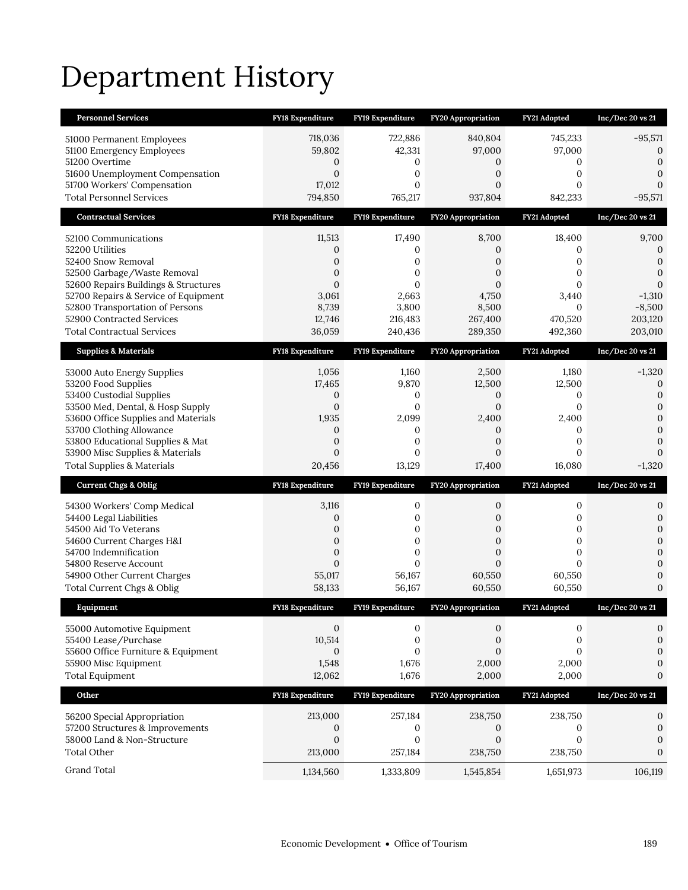# Department History

| <b>Personnel Services</b>                                                    | <b>FY18 Expenditure</b>            | FY19 Expenditure             | <b>FY20 Appropriation</b> | FY21 Adopted         | Inc/Dec 20 vs 21                 |
|------------------------------------------------------------------------------|------------------------------------|------------------------------|---------------------------|----------------------|----------------------------------|
| 51000 Permanent Employees                                                    | 718,036                            | 722,886                      | 840,804                   | 745,233              | $-95,571$                        |
| 51100 Emergency Employees                                                    | 59,802                             | 42,331                       | 97,000                    | 97,000               | 0                                |
| 51200 Overtime                                                               | 0                                  | 0                            | 0                         | 0                    | 0                                |
| 51600 Unemployment Compensation<br>51700 Workers' Compensation               | $\mathbf{0}$<br>17,012             | $\mathbf{0}$<br>$\mathbf{0}$ | 0<br>$\overline{0}$       | 0<br>0               | $\overline{0}$<br>$\overline{0}$ |
| <b>Total Personnel Services</b>                                              | 794,850                            | 765,217                      | 937,804                   | 842,233              | $-95,571$                        |
| <b>Contractual Services</b>                                                  | <b>FY18 Expenditure</b>            | FY19 Expenditure             | <b>FY20 Appropriation</b> | FY21 Adopted         | Inc/Dec 20 vs 21                 |
| 52100 Communications                                                         | 11,513                             | 17,490                       | 8,700                     | 18,400               | 9,700                            |
| 52200 Utilities                                                              | 0                                  | 0                            | 0                         | 0                    | 0                                |
| 52400 Snow Removal                                                           | 0                                  | 0                            | 0                         | 0                    | $\boldsymbol{0}$                 |
| 52500 Garbage/Waste Removal                                                  | $\boldsymbol{0}$                   | $\mathbf{0}$                 | $\overline{0}$            | 0                    | $\boldsymbol{0}$                 |
| 52600 Repairs Buildings & Structures<br>52700 Repairs & Service of Equipment | $\mathbf{0}$<br>3,061              | 0<br>2,663                   | $\mathbf{0}$<br>4,750     | $\Omega$<br>3,440    | $\mathbf{0}$<br>$-1,310$         |
| 52800 Transportation of Persons                                              | 8,739                              | 3,800                        | 8,500                     | $\mathbf{0}$         | $-8,500$                         |
| 52900 Contracted Services                                                    | 12,746                             | 216,483                      | 267,400                   | 470,520              | 203,120                          |
| <b>Total Contractual Services</b>                                            | 36,059                             | 240,436                      | 289,350                   | 492,360              | 203,010                          |
| <b>Supplies &amp; Materials</b>                                              | FY18 Expenditure                   | FY19 Expenditure             | <b>FY20 Appropriation</b> | FY21 Adopted         | Inc/Dec 20 vs 21                 |
| 53000 Auto Energy Supplies                                                   | 1,056                              | 1,160                        | 2,500                     | 1,180                | $-1,320$                         |
| 53200 Food Supplies                                                          | 17,465                             | 9,870                        | 12,500                    | 12,500               | $\mathbf{0}$                     |
| 53400 Custodial Supplies                                                     | $\mathbf{0}$                       | 0                            | 0                         | 0                    | $\mathbf{0}$                     |
| 53500 Med, Dental, & Hosp Supply<br>53600 Office Supplies and Materials      | $\mathbf{0}$<br>1,935              | $\mathbf{0}$<br>2,099        | $\mathbf{0}$<br>2,400     | 0<br>2,400           | 0<br>$\overline{0}$              |
| 53700 Clothing Allowance                                                     | 0                                  | 0                            | 0                         | 0                    | $\Omega$                         |
| 53800 Educational Supplies & Mat                                             | $\boldsymbol{0}$                   | 0                            | $\boldsymbol{0}$          | 0                    | 0                                |
|                                                                              |                                    |                              |                           |                      |                                  |
| 53900 Misc Supplies & Materials                                              | $\mathbf{0}$                       | $\mathbf{0}$                 | $\overline{0}$            | 0                    | $\Omega$                         |
| <b>Total Supplies &amp; Materials</b>                                        | 20,456                             | 13,129                       | 17,400                    | 16,080               | $-1,320$                         |
| <b>Current Chgs &amp; Oblig</b>                                              | <b>FY18 Expenditure</b>            | FY19 Expenditure             | <b>FY20 Appropriation</b> | FY21 Adopted         | Inc/Dec 20 vs 21                 |
| 54300 Workers' Comp Medical                                                  | 3,116                              | 0                            | 0                         | 0                    | 0                                |
| 54400 Legal Liabilities                                                      | $\mathbf{0}$                       | 0                            | 0                         | 0                    | 0                                |
| 54500 Aid To Veterans                                                        | $\boldsymbol{0}$                   | 0                            | 0                         | 0                    | $\boldsymbol{0}$                 |
| 54600 Current Charges H&I                                                    | $\mathbf{0}$                       | $\boldsymbol{0}$             | $\mathbf{0}$              | $\overline{0}$       | $\overline{0}$                   |
| 54700 Indemnification<br>54800 Reserve Account                               | $\boldsymbol{0}$<br>$\overline{0}$ | $\boldsymbol{0}$<br>$\Omega$ | 0<br>$\overline{0}$       | 0<br>$\Omega$        | $\overline{0}$<br>$\overline{0}$ |
| 54900 Other Current Charges                                                  | 55,017                             | 56,167                       | 60,550                    | 60,550               | 0                                |
| Total Current Chgs & Oblig                                                   | 58,133                             | 56,167                       | 60,550                    | 60,550               | $\overline{0}$                   |
| Equipment                                                                    | <b>FY18 Expenditure</b>            | FY19 Expenditure             | <b>FY20 Appropriation</b> | FY21 Adopted         | Inc/Dec 20 vs 21                 |
| 55000 Automotive Equipment                                                   | $\mathbf{0}$                       | 0                            | 0                         | 0                    | 0                                |
| 55400 Lease/Purchase                                                         | 10,514                             | 0                            | 0                         | 0                    | $\boldsymbol{0}$                 |
| 55600 Office Furniture & Equipment                                           | $\mathbf{0}$                       | $\mathbf{0}$                 | $\overline{0}$            | $\overline{0}$       | $\boldsymbol{0}$                 |
| 55900 Misc Equipment                                                         | 1,548                              | 1,676                        | 2,000                     | 2,000                | 0                                |
| <b>Total Equipment</b>                                                       | 12,062                             | 1,676                        | 2,000                     | 2,000                | 0                                |
| Other                                                                        | FY18 Expenditure                   | FY19 Expenditure             | FY20 Appropriation        | FY21 Adopted         | Inc/Dec 20 vs 21                 |
| 56200 Special Appropriation                                                  | 213,000                            | 257,184                      | 238,750                   | 238,750              | 0                                |
| 57200 Structures & Improvements                                              | 0                                  | 0                            | 0                         | 0                    | $\boldsymbol{0}$                 |
| 58000 Land & Non-Structure                                                   | $\boldsymbol{0}$                   | $\boldsymbol{0}$             | $\boldsymbol{0}$          | $\mathbf{0}$         | $\mathbf{0}$                     |
| <b>Total Other</b><br>Grand Total                                            | 213,000<br>1,134,560               | 257,184<br>1,333,809         | 238,750<br>1,545,854      | 238,750<br>1,651,973 | $\mathbf{0}$<br>106,119          |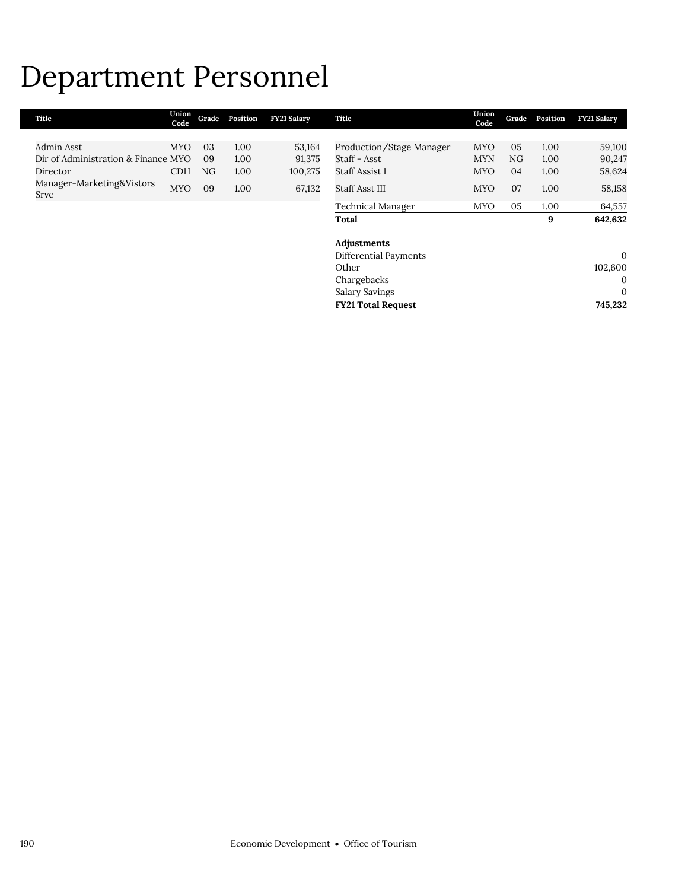## Department Personnel

| Admin Asst<br>Production/Stage Manager<br>05<br><b>MYO</b><br>03<br>1.00<br>53,164<br><b>MYO</b><br>1.00<br>Staff - Asst<br>Dir of Administration & Finance MYO<br>91,375<br>09<br>1.00<br><b>MYN</b><br>NG<br>1.00<br><b>Staff Assist I</b><br>NG<br>1.00<br>100,275<br><b>MYO</b><br>04<br>1.00<br>Director<br><b>CDH</b><br>Manager-Marketing&Vistors<br>09<br>1.00<br>Staff Asst III<br><b>MYO</b><br>67,132<br>07<br>1.00<br><b>MYO</b><br>Srvc<br>05<br>1.00<br>Technical Manager<br><b>MYO</b><br>9<br>Total<br>Adjustments<br>Differential Payments<br>Other<br>Chargebacks<br>Salary Savings<br><b>FY21 Total Request</b> | Title | Union<br>Code | Grade | Position | <b>FY21 Salary</b> | Title | Union<br>Code | Grade | Position | <b>FY21 Salary</b> |
|------------------------------------------------------------------------------------------------------------------------------------------------------------------------------------------------------------------------------------------------------------------------------------------------------------------------------------------------------------------------------------------------------------------------------------------------------------------------------------------------------------------------------------------------------------------------------------------------------------------------------------|-------|---------------|-------|----------|--------------------|-------|---------------|-------|----------|--------------------|
|                                                                                                                                                                                                                                                                                                                                                                                                                                                                                                                                                                                                                                    |       |               |       |          |                    |       |               |       |          |                    |
|                                                                                                                                                                                                                                                                                                                                                                                                                                                                                                                                                                                                                                    |       |               |       |          |                    |       |               |       |          | 59,100             |
|                                                                                                                                                                                                                                                                                                                                                                                                                                                                                                                                                                                                                                    |       |               |       |          |                    |       |               |       |          | 90,247             |
|                                                                                                                                                                                                                                                                                                                                                                                                                                                                                                                                                                                                                                    |       |               |       |          |                    |       |               |       |          | 58,624             |
|                                                                                                                                                                                                                                                                                                                                                                                                                                                                                                                                                                                                                                    |       |               |       |          |                    |       |               |       |          | 58,158             |
|                                                                                                                                                                                                                                                                                                                                                                                                                                                                                                                                                                                                                                    |       |               |       |          |                    |       |               |       |          | 64,557             |
|                                                                                                                                                                                                                                                                                                                                                                                                                                                                                                                                                                                                                                    |       |               |       |          |                    |       |               |       |          | 642,632            |
|                                                                                                                                                                                                                                                                                                                                                                                                                                                                                                                                                                                                                                    |       |               |       |          |                    |       |               |       |          |                    |
|                                                                                                                                                                                                                                                                                                                                                                                                                                                                                                                                                                                                                                    |       |               |       |          |                    |       |               |       |          |                    |
|                                                                                                                                                                                                                                                                                                                                                                                                                                                                                                                                                                                                                                    |       |               |       |          |                    |       |               |       |          | $\mathbf{0}$       |
|                                                                                                                                                                                                                                                                                                                                                                                                                                                                                                                                                                                                                                    |       |               |       |          |                    |       |               |       |          | 102,600            |
|                                                                                                                                                                                                                                                                                                                                                                                                                                                                                                                                                                                                                                    |       |               |       |          |                    |       |               |       |          | $\mathbf{0}$       |
|                                                                                                                                                                                                                                                                                                                                                                                                                                                                                                                                                                                                                                    |       |               |       |          |                    |       |               |       |          | $\mathbf{0}$       |
|                                                                                                                                                                                                                                                                                                                                                                                                                                                                                                                                                                                                                                    |       |               |       |          |                    |       |               |       |          | 745,232            |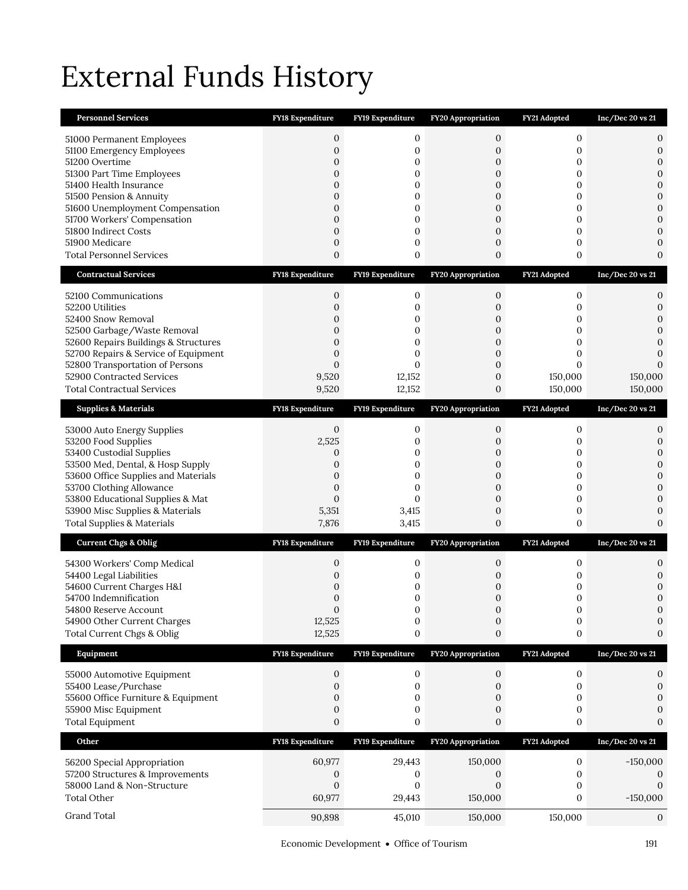# External Funds History

| <b>Personnel Services</b>                                      | FY18 Expenditure               | FY19 Expenditure        | FY20 Appropriation                   | FY21 Adopted      | Inc/Dec 20 vs 21                 |
|----------------------------------------------------------------|--------------------------------|-------------------------|--------------------------------------|-------------------|----------------------------------|
| 51000 Permanent Employees                                      | 0                              | 0                       | 0                                    | 0                 | 0                                |
| 51100 Emergency Employees                                      | $\mathbf{0}$                   | 0                       | $\boldsymbol{0}$                     | 0                 | $\mathbf{0}$                     |
| 51200 Overtime                                                 | $\mathbf{0}$                   | 0                       | 0                                    | 0                 | $\boldsymbol{0}$                 |
| 51300 Part Time Employees<br>51400 Health Insurance            | $\mathbf{0}$<br>$\overline{0}$ | 0<br>0                  | 0<br>$\mathbf{0}$                    | 0<br>$\mathbf{0}$ | $\boldsymbol{0}$<br>$\mathbf{0}$ |
| 51500 Pension & Annuity                                        | 0                              | 0                       | 0                                    | 0                 | $\mathbf{0}$                     |
| 51600 Unemployment Compensation                                | $\overline{0}$                 | 0                       | $\overline{0}$                       | $\mathbf{0}$      | $\overline{0}$                   |
| 51700 Workers' Compensation                                    | $\overline{0}$                 | 0                       | $\boldsymbol{0}$                     | 0                 | $\mathbf{0}$                     |
| 51800 Indirect Costs                                           | $\mathbf{0}$                   | 0                       | 0                                    | 0                 | $\overline{0}$                   |
| 51900 Medicare<br><b>Total Personnel Services</b>              | $\mathbf{0}$<br>$\overline{0}$ | 0<br>0                  | $\boldsymbol{0}$<br>$\boldsymbol{0}$ | 0<br>0            | $\mathbf{0}$<br>$\mathbf{0}$     |
|                                                                |                                |                         |                                      |                   |                                  |
| <b>Contractual Services</b>                                    | <b>FY18 Expenditure</b>        | FY19 Expenditure        | <b>FY20 Appropriation</b>            | FY21 Adopted      | $Inc/Dec$ 20 vs 21               |
| 52100 Communications                                           | $\mathbf{0}$                   | 0                       | 0                                    | $\mathbf{0}$      | 0                                |
| 52200 Utilities                                                | $\overline{0}$                 | 0                       | 0                                    | 0                 | 0                                |
| 52400 Snow Removal<br>52500 Garbage/Waste Removal              | $\overline{0}$<br>$\mathbf{0}$ | 0<br>0                  | 0<br>0                               | 0<br>0            | $\mathbf{0}$<br>$\mathbf{0}$     |
| 52600 Repairs Buildings & Structures                           | $\overline{0}$                 | 0                       | 0                                    | $\mathbf{0}$      | $\mathbf{0}$                     |
| 52700 Repairs & Service of Equipment                           | $\overline{0}$                 | 0                       | $\mathbf{0}$                         | 0                 | $\theta$                         |
| 52800 Transportation of Persons                                | $\overline{0}$                 | $\mathbf{0}$            | 0                                    | $\mathbf{0}$      | $\Omega$                         |
| 52900 Contracted Services<br><b>Total Contractual Services</b> | 9,520                          | 12,152                  | $\boldsymbol{0}$                     | 150,000           | 150,000                          |
|                                                                | 9,520                          | 12,152                  | 0                                    | 150,000           | 150,000                          |
| <b>Supplies &amp; Materials</b>                                | FY18 Expenditure               | FY19 Expenditure        | FY20 Appropriation                   | FY21 Adopted      | $Inc/Dec$ 20 vs 21               |
| 53000 Auto Energy Supplies                                     | 0                              | 0                       | 0                                    | 0                 | 0                                |
| 53200 Food Supplies                                            | 2,525                          | 0                       | 0                                    | 0                 | $\mathbf{0}$                     |
| 53400 Custodial Supplies<br>53500 Med, Dental, & Hosp Supply   | 0<br>$\overline{0}$            | 0<br>$\mathbf{0}$       | 0<br>$\overline{0}$                  | 0<br>$\mathbf{0}$ | $\mathbf{0}$<br>$\overline{0}$   |
| 53600 Office Supplies and Materials                            | $\overline{0}$                 | $\mathbf{0}$            | 0                                    | 0                 | $\mathbf{0}$                     |
| 53700 Clothing Allowance                                       | $\mathbf{0}$                   | 0                       | $\boldsymbol{0}$                     | 0                 | $\mathbf{0}$                     |
| 53800 Educational Supplies & Mat                               | $\mathbf{0}$                   | $\mathbf{0}$            | 0                                    | 0                 | $\mathbf{0}$                     |
| 53900 Misc Supplies & Materials                                | 5,351                          | 3,415                   | 0                                    | 0                 | $\mathbf{0}$                     |
| <b>Total Supplies &amp; Materials</b>                          | 7,876                          | 3,415                   | $\boldsymbol{0}$                     | 0                 | $\mathbf{0}$                     |
| <b>Current Chgs &amp; Oblig</b>                                | <b>FY18 Expenditure</b>        | <b>FY19 Expenditure</b> | <b>FY20 Appropriation</b>            | FY21 Adopted      | Inc/Dec 20 vs 21                 |
| 54300 Workers' Comp Medical                                    | 0                              | 0                       | 0                                    | 0                 | 0                                |
| 54400 Legal Liabilities                                        | 0                              | 0                       | 0                                    | 0                 | $\mathbf{0}$                     |
| 54600 Current Charges H&I                                      | $\mathbf 0$                    | 0                       | 0                                    | 0                 | $\mathbf{0}$                     |
| 54700 Indemnification<br>54800 Reserve Account                 | 0<br>$\Omega$                  | 0<br>$\Omega$           | 0<br>$\Omega$                        | 0<br>$\Omega$     | $\mathbf{0}$<br>$\Omega$         |
| 54900 Other Current Charges                                    | 12,525                         | $\boldsymbol{0}$        | 0                                    | $\boldsymbol{0}$  | 0                                |
| Total Current Chgs & Oblig                                     | 12,525                         | 0                       | $\boldsymbol{0}$                     | 0                 | 0                                |
| Equipment                                                      | FY18 Expenditure               | FY19 Expenditure        | FY20 Appropriation                   | FY21 Adopted      | $Inc/Dec$ 20 vs 21               |
| 55000 Automotive Equipment                                     | $\boldsymbol{0}$               | $\boldsymbol{0}$        | $\boldsymbol{0}$                     | $\boldsymbol{0}$  | 0                                |
| 55400 Lease/Purchase                                           | $\boldsymbol{0}$               | 0                       | 0                                    | $\mathbf{0}$      | $\boldsymbol{0}$                 |
| 55600 Office Furniture & Equipment                             | $\mathbf{0}$                   | 0                       | 0                                    | 0                 | $\mathbf{0}$                     |
| 55900 Misc Equipment                                           | 0                              | 0                       | 0                                    | 0                 | $\Omega$                         |
| <b>Total Equipment</b>                                         | $\boldsymbol{0}$               | 0                       | 0                                    | 0                 | 0                                |
| Other                                                          | <b>FY18 Expenditure</b>        | FY19 Expenditure        | <b>FY20 Appropriation</b>            | FY21 Adopted      | Inc/Dec 20 vs 21                 |
| 56200 Special Appropriation                                    | 60,977                         | 29,443                  | 150,000                              | $\boldsymbol{0}$  | $-150,000$                       |
| 57200 Structures & Improvements                                | 0                              | 0                       | 0                                    | $\mathbf{0}$      | $\mathbf 0$                      |
| 58000 Land & Non-Structure                                     | $\overline{0}$                 | 0                       | $\boldsymbol{0}$                     | 0                 | $\mathbf{0}$                     |
| <b>Total Other</b>                                             | 60,977                         | 29,443                  | 150,000                              | $\mathbf{0}$      | $-150,000$                       |
| Grand Total                                                    | 90,898                         | 45,010                  | 150,000                              | 150,000           | $\mathbf{0}$                     |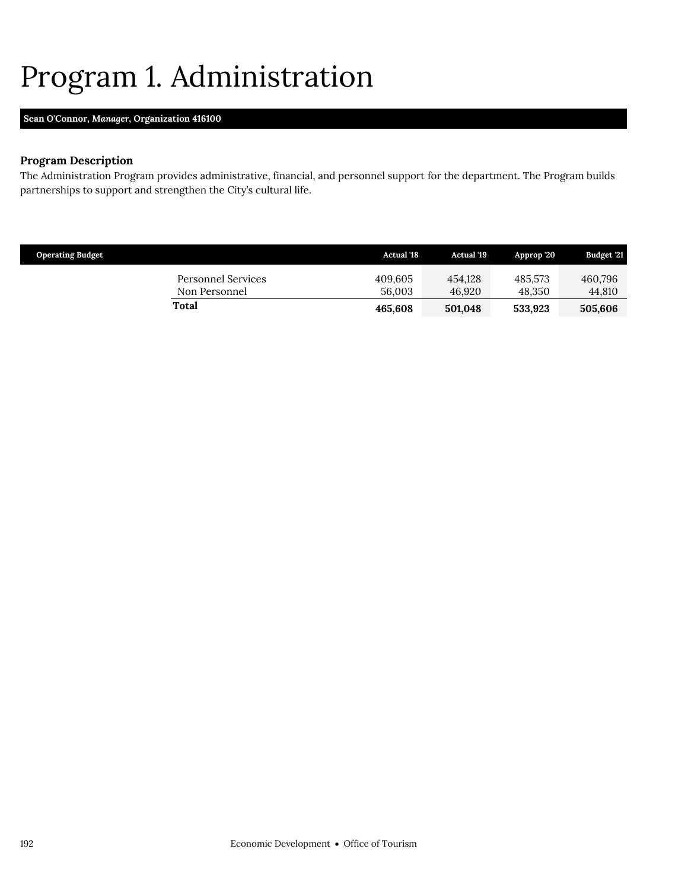## <span id="page-37-0"></span>Program 1. Administration

## **Sean O'Connor,** *Manager,* **Organization 416100**

## **Program Description**

The Administration Program provides administrative, financial, and personnel support for the department. The Program builds partnerships to support and strengthen the City's cultural life.

| <b>Operating Budget</b>             | <b>Actual</b> '18 | <b>Actual</b> '19 | Approp '20        | Budget '21        |
|-------------------------------------|-------------------|-------------------|-------------------|-------------------|
| Personnel Services<br>Non Personnel | 409,605<br>56,003 | 454.128<br>46.920 | 485.573<br>48.350 | 460.796<br>44,810 |
| <b>Total</b>                        | 465.608           | 501.048           | 533.923           | 505.606           |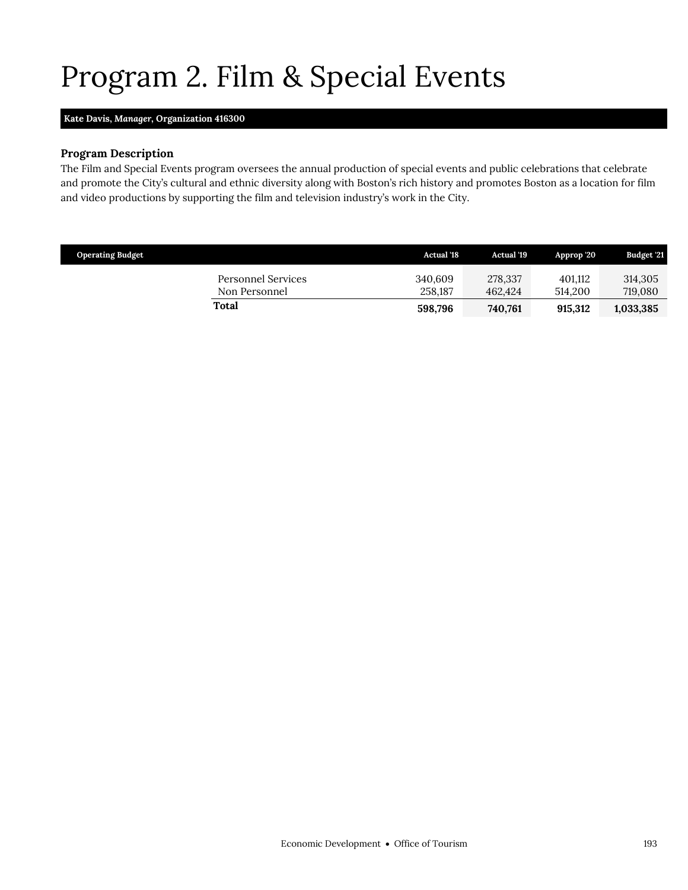# <span id="page-38-0"></span>Program 2. Film & Special Events

### **Kate Davis,** *Manager,* **Organization 416300**

### **Program Description**

The Film and Special Events program oversees the annual production of special events and public celebrations that celebrate and promote the City's cultural and ethnic diversity along with Boston's rich history and promotes Boston as a location for film and video productions by supporting the film and television industry's work in the City.

| <b>Operating Budget</b>             | <b>Actual</b> '18  | Actual '19         | Approp '20         | <b>Budget '21</b>  |
|-------------------------------------|--------------------|--------------------|--------------------|--------------------|
| Personnel Services<br>Non Personnel | 340.609<br>258.187 | 278,337<br>462.424 | 401.112<br>514.200 | 314,305<br>719,080 |
| Total                               | 598,796            | 740,761            | 915.312            | 1,033,385          |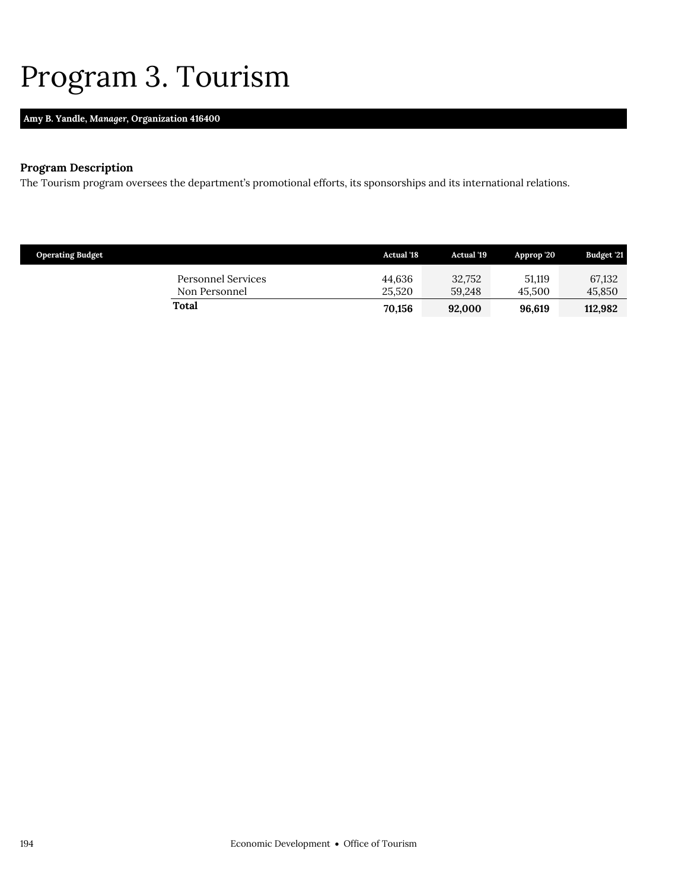## <span id="page-39-0"></span>Program 3. Tourism

## **Amy B. Yandle,** *Manager,* **Organization 416400**

## **Program Description**

The Tourism program oversees the department's promotional efforts, its sponsorships and its international relations.

| <b>Operating Budget</b>             | <b>Actual</b> '18 | <b>Actual</b> '19 | Approp '20       | Budget '21       |
|-------------------------------------|-------------------|-------------------|------------------|------------------|
| Personnel Services<br>Non Personnel | 44.636<br>25.520  | 32,752<br>59.248  | 51.119<br>45.500 | 67,132<br>45,850 |
| Total                               | 70,156            | 92.000            | 96.619           | 112.982          |